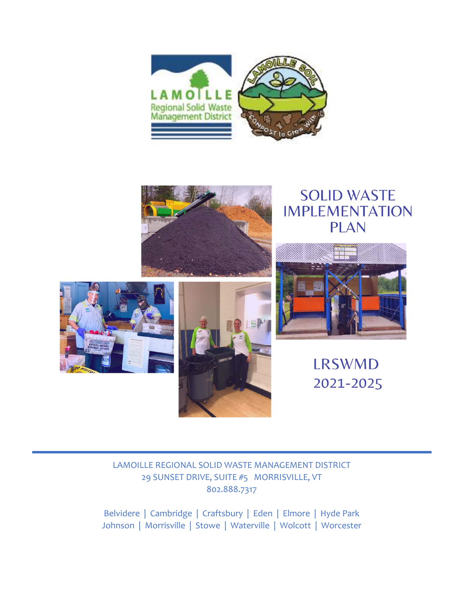



# **SOLID WASTE IMPLEMENTATION PLAN**







**LRSWMD** 2021-2025

#### LAMOILLE REGIONAL SOLID WASTE MANAGEMENT DISTRICT 29 SUNSET DRIVE, SUITE #5 MORRISVILLE, VT 802.888.7317

Belvidere | Cambridge | Craftsbury | Eden | Elmore | Hyde Park Johnson | Morrisville | Stowe | Waterville | Wolcott | Worcester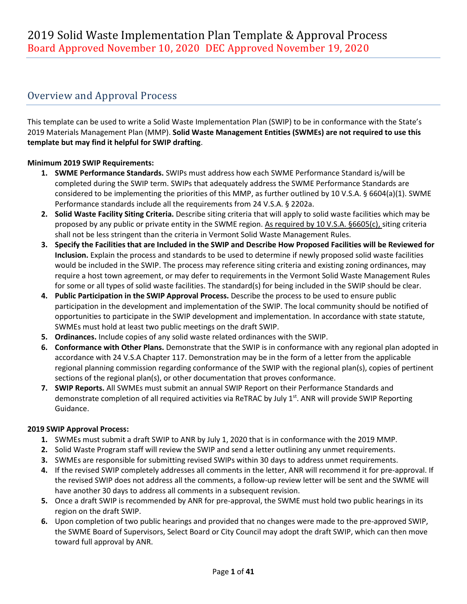### Overview and Approval Process

This template can be used to write a Solid Waste Implementation Plan (SWIP) to be in conformance with the State's 2019 Materials Management Plan (MMP). **Solid Waste Management Entities (SWMEs) are not required to use this template but may find it helpful for SWIP drafting**.

#### **Minimum 2019 SWIP Requirements:**

- **1. SWME Performance Standards.** SWIPs must address how each SWME Performance Standard is/will be completed during the SWIP term. SWIPs that adequately address the SWME Performance Standards are considered to be implementing the priorities of this MMP, as further outlined by 10 V.S.A. § 6604(a)(1). SWME Performance standards include all the requirements from 24 V.S.A. § 2202a.
- **2. Solid Waste Facility Siting Criteria.** Describe siting criteria that will apply to solid waste facilities which may be proposed by any public or private entity in the SWME region. As required by 10 V.S.A. §6605(c), siting criteria shall not be less stringent than the criteria in Vermont Solid Waste Management Rules.
- **3. Specify the Facilities that are Included in the SWIP and Describe How Proposed Facilities will be Reviewed for Inclusion.** Explain the process and standards to be used to determine if newly proposed solid waste facilities would be included in the SWIP. The process may reference siting criteria and existing zoning ordinances, may require a host town agreement, or may defer to requirements in the Vermont Solid Waste Management Rules for some or all types of solid waste facilities. The standard(s) for being included in the SWIP should be clear.
- **4. Public Participation in the SWIP Approval Process.** Describe the process to be used to ensure public participation in the development and implementation of the SWIP. The local community should be notified of opportunities to participate in the SWIP development and implementation. In accordance with state statute, SWMEs must hold at least two public meetings on the draft SWIP.
- **5. Ordinances.** Include copies of any solid waste related ordinances with the SWIP.
- **6. Conformance with Other Plans.** Demonstrate that the SWIP is in conformance with any regional plan adopted in accordance with 24 V.S.A Chapter 117. Demonstration may be in the form of a letter from the applicable regional planning commission regarding conformance of the SWIP with the regional plan(s), copies of pertinent sections of the regional plan(s), or other documentation that proves conformance.
- **7. SWIP Reports.** All SWMEs must submit an annual SWIP Report on their Performance Standards and demonstrate completion of all required activities via ReTRAC by July  $1<sup>st</sup>$ . ANR will provide SWIP Reporting Guidance.

#### **2019 SWIP Approval Process:**

- **1.** SWMEs must submit a draft SWIP to ANR by July 1, 2020 that is in conformance with the 2019 MMP.
- **2.** Solid Waste Program staff will review the SWIP and send a letter outlining any unmet requirements.
- **3.** SWMEs are responsible for submitting revised SWIPs within 30 days to address unmet requirements.
- **4.** If the revised SWIP completely addresses all comments in the letter, ANR will recommend it for pre-approval. If the revised SWIP does not address all the comments, a follow-up review letter will be sent and the SWME will have another 30 days to address all comments in a subsequent revision.
- **5.** Once a draft SWIP is recommended by ANR for pre-approval, the SWME must hold two public hearings in its region on the draft SWIP.
- **6.** Upon completion of two public hearings and provided that no changes were made to the pre-approved SWIP, the SWME Board of Supervisors, Select Board or City Council may adopt the draft SWIP, which can then move toward full approval by ANR.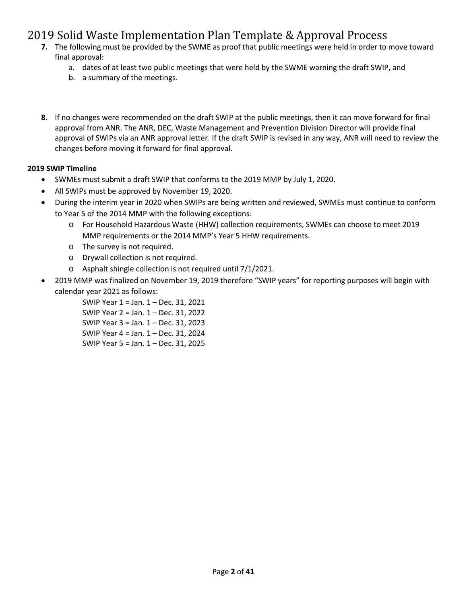- **7.** The following must be provided by the SWME as proof that public meetings were held in order to move toward final approval:
	- a. dates of at least two public meetings that were held by the SWME warning the draft SWIP, and
	- b. a summary of the meetings.
- **8.** If no changes were recommended on the draft SWIP at the public meetings, then it can move forward for final approval from ANR. The ANR, DEC, Waste Management and Prevention Division Director will provide final approval of SWIPs via an ANR approval letter. If the draft SWIP is revised in any way, ANR will need to review the changes before moving it forward for final approval.

#### **2019 SWIP Timeline**

- SWMEs must submit a draft SWIP that conforms to the 2019 MMP by July 1, 2020.
- All SWIPs must be approved by November 19, 2020.
- During the interim year in 2020 when SWIPs are being written and reviewed, SWMEs must continue to conform to Year 5 of the 2014 MMP with the following exceptions:
	- o For Household Hazardous Waste (HHW) collection requirements, SWMEs can choose to meet 2019 MMP requirements or the 2014 MMP's Year 5 HHW requirements.
	- o The survey is not required.
	- o Drywall collection is not required.
	- o Asphalt shingle collection is not required until 7/1/2021.
- 2019 MMP was finalized on November 19, 2019 therefore "SWIP years" for reporting purposes will begin with calendar year 2021 as follows:

SWIP Year 1 = Jan. 1 – Dec. 31, 2021 SWIP Year 2 = Jan. 1 – Dec. 31, 2022 SWIP Year 3 = Jan. 1 – Dec. 31, 2023 SWIP Year 4 = Jan. 1 – Dec. 31, 2024 SWIP Year 5 = Jan. 1 – Dec. 31, 2025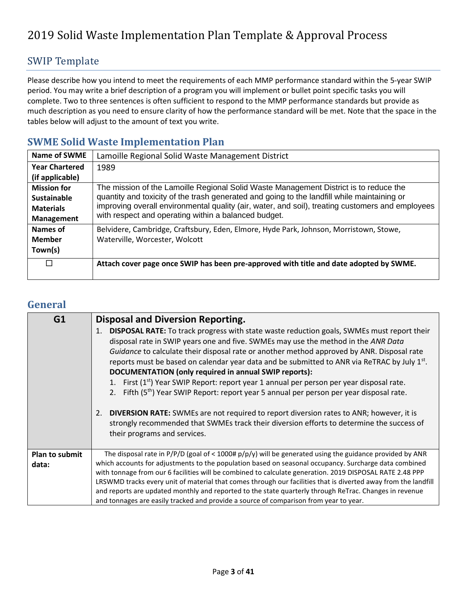#### SWIP Template

Please describe how you intend to meet the requirements of each MMP performance standard within the 5-year SWIP period. You may write a brief description of a program you will implement or bullet point specific tasks you will complete. Two to three sentences is often sufficient to respond to the MMP performance standards but provide as much description as you need to ensure clarity of how the performance standard will be met. Note that the space in the tables below will adjust to the amount of text you write.

#### **SWME Solid Waste Implementation Plan**

| Name of SWME          | Lamoille Regional Solid Waste Management District                                                |
|-----------------------|--------------------------------------------------------------------------------------------------|
| <b>Year Chartered</b> | 1989                                                                                             |
| (if applicable)       |                                                                                                  |
| <b>Mission for</b>    | The mission of the Lamoille Regional Solid Waste Management District is to reduce the            |
| <b>Sustainable</b>    | quantity and toxicity of the trash generated and going to the landfill while maintaining or      |
| <b>Materials</b>      | improving overall environmental quality (air, water, and soil), treating customers and employees |
| <b>Management</b>     | with respect and operating within a balanced budget.                                             |
| Names of              | Belvidere, Cambridge, Craftsbury, Eden, Elmore, Hyde Park, Johnson, Morristown, Stowe,           |
| <b>Member</b>         | Waterville, Worcester, Wolcott                                                                   |
| Town(s)               |                                                                                                  |
| П                     | Attach cover page once SWIP has been pre-approved with title and date adopted by SWME.           |

#### **General**

| G1                             | <b>Disposal and Diversion Reporting.</b>                                                                                                                                                                                                                                                                                                                                                                                                                                                                                                                                                                                                                                                                                                                                                                                                                                               |
|--------------------------------|----------------------------------------------------------------------------------------------------------------------------------------------------------------------------------------------------------------------------------------------------------------------------------------------------------------------------------------------------------------------------------------------------------------------------------------------------------------------------------------------------------------------------------------------------------------------------------------------------------------------------------------------------------------------------------------------------------------------------------------------------------------------------------------------------------------------------------------------------------------------------------------|
|                                | 1. DISPOSAL RATE: To track progress with state waste reduction goals, SWMEs must report their<br>disposal rate in SWIP years one and five. SWMEs may use the method in the ANR Data<br>Guidance to calculate their disposal rate or another method approved by ANR. Disposal rate<br>reports must be based on calendar year data and be submitted to ANR via ReTRAC by July 1st.<br>DOCUMENTATION (only required in annual SWIP reports):<br>1. First (1 <sup>st</sup> ) Year SWIP Report: report year 1 annual per person per year disposal rate.<br>2. Fifth (5 <sup>th</sup> ) Year SWIP Report: report year 5 annual per person per year disposal rate.<br>2. DIVERSION RATE: SWMEs are not required to report diversion rates to ANR; however, it is<br>strongly recommended that SWMEs track their diversion efforts to determine the success of<br>their programs and services. |
| <b>Plan to submit</b><br>data: | The disposal rate in P/P/D (goal of < 1000# $p/p/y$ ) will be generated using the guidance provided by ANR<br>which accounts for adjustments to the population based on seasonal occupancy. Surcharge data combined<br>with tonnage from our 6 facilities will be combined to calculate generation. 2019 DISPOSAL RATE 2.48 PPP<br>LRSWMD tracks every unit of material that comes through our facilities that is diverted away from the landfill<br>and reports are updated monthly and reported to the state quarterly through ReTrac. Changes in revenue<br>and tonnages are easily tracked and provide a source of comparison from year to year.                                                                                                                                                                                                                                   |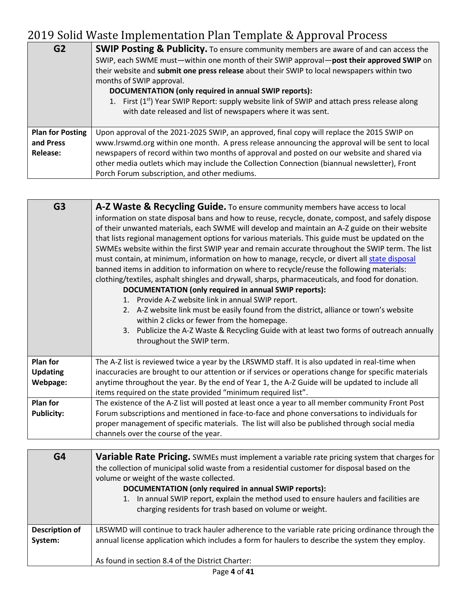| G <sub>2</sub>          | <b>SWIP Posting &amp; Publicity.</b> To ensure community members are aware of and can access the<br>SWIP, each SWME must—within one month of their SWIP approval—post their approved SWIP on<br>their website and submit one press release about their SWIP to local newspapers within two<br>months of SWIP approval.<br>DOCUMENTATION (only required in annual SWIP reports):<br>1. First $(1^{st})$ Year SWIP Report: supply website link of SWIP and attach press release along<br>with date released and list of newspapers where it was sent. |
|-------------------------|-----------------------------------------------------------------------------------------------------------------------------------------------------------------------------------------------------------------------------------------------------------------------------------------------------------------------------------------------------------------------------------------------------------------------------------------------------------------------------------------------------------------------------------------------------|
| <b>Plan for Posting</b> | Upon approval of the 2021-2025 SWIP, an approved, final copy will replace the 2015 SWIP on                                                                                                                                                                                                                                                                                                                                                                                                                                                          |
| and Press               | www.lrswmd.org within one month. A press release announcing the approval will be sent to local                                                                                                                                                                                                                                                                                                                                                                                                                                                      |
| <b>Release:</b>         | newspapers of record within two months of approval and posted on our website and shared via                                                                                                                                                                                                                                                                                                                                                                                                                                                         |
|                         | other media outlets which may include the Collection Connection (biannual newsletter), Front                                                                                                                                                                                                                                                                                                                                                                                                                                                        |
|                         | Porch Forum subscription, and other mediums.                                                                                                                                                                                                                                                                                                                                                                                                                                                                                                        |

| G <sub>3</sub><br><b>A-Z Waste &amp; Recycling Guide.</b> To ensure community members have access to local                                                                                                                                                                                                                                                                                                                                                                                                                                                                                                                                                                                                                                                                                                                                                                                                                                                                                                                                                                                        |
|---------------------------------------------------------------------------------------------------------------------------------------------------------------------------------------------------------------------------------------------------------------------------------------------------------------------------------------------------------------------------------------------------------------------------------------------------------------------------------------------------------------------------------------------------------------------------------------------------------------------------------------------------------------------------------------------------------------------------------------------------------------------------------------------------------------------------------------------------------------------------------------------------------------------------------------------------------------------------------------------------------------------------------------------------------------------------------------------------|
| information on state disposal bans and how to reuse, recycle, donate, compost, and safely dispose<br>of their unwanted materials, each SWME will develop and maintain an A-Z guide on their website<br>that lists regional management options for various materials. This guide must be updated on the<br>SWMEs website within the first SWIP year and remain accurate throughout the SWIP term. The list<br>must contain, at minimum, information on how to manage, recycle, or divert all state disposal<br>banned items in addition to information on where to recycle/reuse the following materials:<br>clothing/textiles, asphalt shingles and drywall, sharps, pharmaceuticals, and food for donation.<br>DOCUMENTATION (only required in annual SWIP reports):<br>1. Provide A-Z website link in annual SWIP report.<br>2. A-Z website link must be easily found from the district, alliance or town's website<br>within 2 clicks or fewer from the homepage.<br>Publicize the A-Z Waste & Recycling Guide with at least two forms of outreach annually<br>3.<br>throughout the SWIP term. |
| <b>Plan for</b><br>The A-Z list is reviewed twice a year by the LRSWMD staff. It is also updated in real-time when                                                                                                                                                                                                                                                                                                                                                                                                                                                                                                                                                                                                                                                                                                                                                                                                                                                                                                                                                                                |
| inaccuracies are brought to our attention or if services or operations change for specific materials<br><b>Updating</b>                                                                                                                                                                                                                                                                                                                                                                                                                                                                                                                                                                                                                                                                                                                                                                                                                                                                                                                                                                           |
| Webpage:<br>anytime throughout the year. By the end of Year 1, the A-Z Guide will be updated to include all                                                                                                                                                                                                                                                                                                                                                                                                                                                                                                                                                                                                                                                                                                                                                                                                                                                                                                                                                                                       |
| items required on the state provided "minimum required list".                                                                                                                                                                                                                                                                                                                                                                                                                                                                                                                                                                                                                                                                                                                                                                                                                                                                                                                                                                                                                                     |
| <b>Plan for</b><br>The existence of the A-Z list will posted at least once a year to all member community Front Post                                                                                                                                                                                                                                                                                                                                                                                                                                                                                                                                                                                                                                                                                                                                                                                                                                                                                                                                                                              |
| Forum subscriptions and mentioned in face-to-face and phone conversations to individuals for<br><b>Publicity:</b>                                                                                                                                                                                                                                                                                                                                                                                                                                                                                                                                                                                                                                                                                                                                                                                                                                                                                                                                                                                 |
| proper management of specific materials. The list will also be published through social media                                                                                                                                                                                                                                                                                                                                                                                                                                                                                                                                                                                                                                                                                                                                                                                                                                                                                                                                                                                                     |
| channels over the course of the year.                                                                                                                                                                                                                                                                                                                                                                                                                                                                                                                                                                                                                                                                                                                                                                                                                                                                                                                                                                                                                                                             |

| G4                               | Variable Rate Pricing. SWMEs must implement a variable rate pricing system that charges for<br>the collection of municipal solid waste from a residential customer for disposal based on the<br>volume or weight of the waste collected.<br>DOCUMENTATION (only required in annual SWIP reports):<br>1. In annual SWIP report, explain the method used to ensure haulers and facilities are<br>charging residents for trash based on volume or weight. |
|----------------------------------|--------------------------------------------------------------------------------------------------------------------------------------------------------------------------------------------------------------------------------------------------------------------------------------------------------------------------------------------------------------------------------------------------------------------------------------------------------|
| <b>Description of</b><br>System: | LRSWMD will continue to track hauler adherence to the variable rate pricing ordinance through the<br>annual license application which includes a form for haulers to describe the system they employ.<br>As found in section 8.4 of the District Charter:                                                                                                                                                                                              |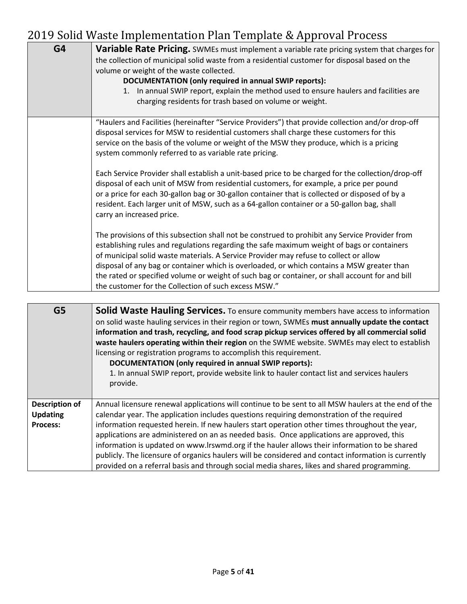| G4             | <b>Variable Rate Pricing.</b> SWMEs must implement a variable rate pricing system that charges for<br>the collection of municipal solid waste from a residential customer for disposal based on the<br>volume or weight of the waste collected.<br>DOCUMENTATION (only required in annual SWIP reports):<br>1. In annual SWIP report, explain the method used to ensure haulers and facilities are<br>charging residents for trash based on volume or weight.                                                                                  |
|----------------|------------------------------------------------------------------------------------------------------------------------------------------------------------------------------------------------------------------------------------------------------------------------------------------------------------------------------------------------------------------------------------------------------------------------------------------------------------------------------------------------------------------------------------------------|
|                | "Haulers and Facilities (hereinafter "Service Providers") that provide collection and/or drop-off<br>disposal services for MSW to residential customers shall charge these customers for this<br>service on the basis of the volume or weight of the MSW they produce, which is a pricing<br>system commonly referred to as variable rate pricing.                                                                                                                                                                                             |
|                | Each Service Provider shall establish a unit-based price to be charged for the collection/drop-off<br>disposal of each unit of MSW from residential customers, for example, a price per pound<br>or a price for each 30-gallon bag or 30-gallon container that is collected or disposed of by a<br>resident. Each larger unit of MSW, such as a 64-gallon container or a 50-gallon bag, shall<br>carry an increased price.                                                                                                                     |
|                | The provisions of this subsection shall not be construed to prohibit any Service Provider from<br>establishing rules and regulations regarding the safe maximum weight of bags or containers<br>of municipal solid waste materials. A Service Provider may refuse to collect or allow<br>disposal of any bag or container which is overloaded, or which contains a MSW greater than<br>the rated or specified volume or weight of such bag or container, or shall account for and bill<br>the customer for the Collection of such excess MSW." |
|                |                                                                                                                                                                                                                                                                                                                                                                                                                                                                                                                                                |
| G <sub>5</sub> | Solid Waste Hauling Services. To ensure community members have access to information<br>on solid waste hauling services in their region or town, SWMEs must annually update the contact<br>information and trash, recycling, and food scrap pickup services offered by all commercial solid<br>waste haulers operating within their region on the SWME website. SWMEs may elect to establish                                                                                                                                                   |

licensing or registration programs to accomplish this requirement. **DOCUMENTATION (only required in annual SWIP reports):** 1. In annual SWIP report, provide website link to hauler contact list and services haulers provide.

**Description of Updating Process:** Annual licensure renewal applications will continue to be sent to all MSW haulers at the end of the calendar year. The application includes questions requiring demonstration of the required information requested herein. If new haulers start operation other times throughout the year, applications are administered on an as needed basis. Once applications are approved, this information is updated on www.lrswmd.org if the hauler allows their information to be shared publicly. The licensure of organics haulers will be considered and contact information is currently provided on a referral basis and through social media shares, likes and shared programming.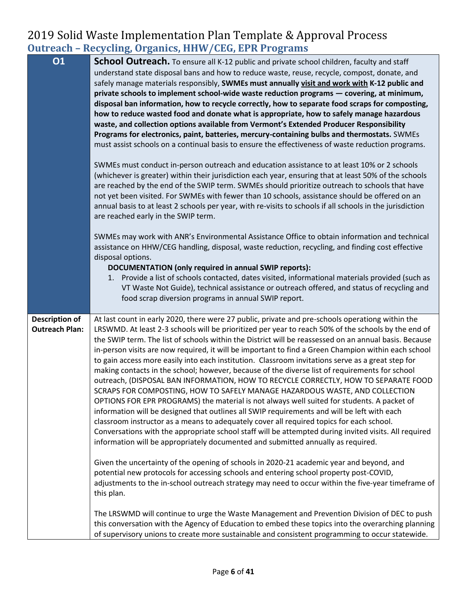### 2019 Solid Waste Implementation Plan Template & Approval Process **Outreach – Recycling, Organics, HHW/CEG, EPR Programs**

| <b>O1</b>                                      | <b>School Outreach.</b> To ensure all K-12 public and private school children, faculty and staff<br>understand state disposal bans and how to reduce waste, reuse, recycle, compost, donate, and<br>safely manage materials responsibly, SWMEs must annually visit and work with K-12 public and<br>private schools to implement school-wide waste reduction programs - covering, at minimum,<br>disposal ban information, how to recycle correctly, how to separate food scraps for composting,<br>how to reduce wasted food and donate what is appropriate, how to safely manage hazardous<br>waste, and collection options available from Vermont's Extended Producer Responsibility<br>Programs for electronics, paint, batteries, mercury-containing bulbs and thermostats. SWMEs<br>must assist schools on a continual basis to ensure the effectiveness of waste reduction programs.<br>SWMEs must conduct in-person outreach and education assistance to at least 10% or 2 schools<br>(whichever is greater) within their jurisdiction each year, ensuring that at least 50% of the schools<br>are reached by the end of the SWIP term. SWMEs should prioritize outreach to schools that have<br>not yet been visited. For SWMEs with fewer than 10 schools, assistance should be offered on an<br>annual basis to at least 2 schools per year, with re-visits to schools if all schools in the jurisdiction<br>are reached early in the SWIP term.<br>SWMEs may work with ANR's Environmental Assistance Office to obtain information and technical<br>assistance on HHW/CEG handling, disposal, waste reduction, recycling, and finding cost effective |
|------------------------------------------------|------------------------------------------------------------------------------------------------------------------------------------------------------------------------------------------------------------------------------------------------------------------------------------------------------------------------------------------------------------------------------------------------------------------------------------------------------------------------------------------------------------------------------------------------------------------------------------------------------------------------------------------------------------------------------------------------------------------------------------------------------------------------------------------------------------------------------------------------------------------------------------------------------------------------------------------------------------------------------------------------------------------------------------------------------------------------------------------------------------------------------------------------------------------------------------------------------------------------------------------------------------------------------------------------------------------------------------------------------------------------------------------------------------------------------------------------------------------------------------------------------------------------------------------------------------------------------------------------------------------------------------------------------------------|
|                                                | disposal options.<br>DOCUMENTATION (only required in annual SWIP reports):<br>1. Provide a list of schools contacted, dates visited, informational materials provided (such as<br>VT Waste Not Guide), technical assistance or outreach offered, and status of recycling and<br>food scrap diversion programs in annual SWIP report.                                                                                                                                                                                                                                                                                                                                                                                                                                                                                                                                                                                                                                                                                                                                                                                                                                                                                                                                                                                                                                                                                                                                                                                                                                                                                                                             |
| <b>Description of</b><br><b>Outreach Plan:</b> | At last count in early 2020, there were 27 public, private and pre-schools operationg within the<br>LRSWMD. At least 2-3 schools will be prioritized per year to reach 50% of the schools by the end of<br>the SWIP term. The list of schools within the District will be reassessed on an annual basis. Because<br>in-person visits are now required, it will be important to find a Green Champion within each school<br>to gain access more easily into each institution. Classroom invitations serve as a great step for<br>making contacts in the school; however, because of the diverse list of requirements for school<br>outreach, (DISPOSAL BAN INFORMATION, HOW TO RECYCLE CORRECTLY, HOW TO SEPARATE FOOD<br>SCRAPS FOR COMPOSTING, HOW TO SAFELY MANAGE HAZARDOUS WASTE, AND COLLECTION<br>OPTIONS FOR EPR PROGRAMS) the material is not always well suited for students. A packet of<br>information will be designed that outlines all SWIP requirements and will be left with each<br>classroom instructor as a means to adequately cover all required topics for each school.<br>Conversations with the appropriate school staff will be attempted during invited visits. All required<br>information will be appropriately documented and submitted annually as required.<br>Given the uncertainty of the opening of schools in 2020-21 academic year and beyond, and<br>potential new protocols for accessing schools and entering school property post-COVID,                                                                                                                                                                                 |
|                                                | adjustments to the in-school outreach strategy may need to occur within the five-year timeframe of<br>this plan.<br>The LRSWMD will continue to urge the Waste Management and Prevention Division of DEC to push                                                                                                                                                                                                                                                                                                                                                                                                                                                                                                                                                                                                                                                                                                                                                                                                                                                                                                                                                                                                                                                                                                                                                                                                                                                                                                                                                                                                                                                 |
|                                                | this conversation with the Agency of Education to embed these topics into the overarching planning<br>of supervisory unions to create more sustainable and consistent programming to occur statewide.                                                                                                                                                                                                                                                                                                                                                                                                                                                                                                                                                                                                                                                                                                                                                                                                                                                                                                                                                                                                                                                                                                                                                                                                                                                                                                                                                                                                                                                            |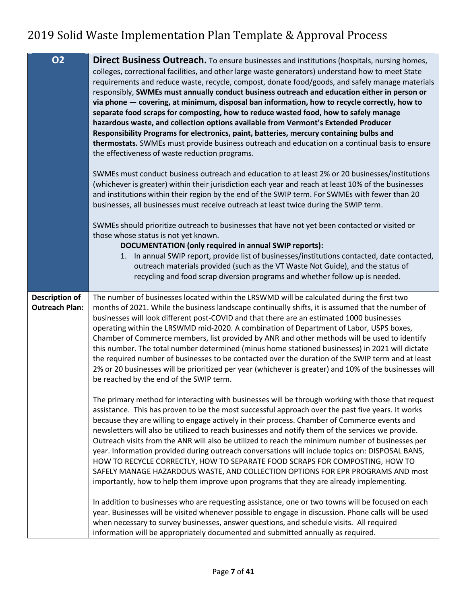| <b>O2</b>                                      | Direct Business Outreach. To ensure businesses and institutions (hospitals, nursing homes,                                                                                                        |
|------------------------------------------------|---------------------------------------------------------------------------------------------------------------------------------------------------------------------------------------------------|
|                                                | colleges, correctional facilities, and other large waste generators) understand how to meet State                                                                                                 |
|                                                | requirements and reduce waste, recycle, compost, donate food/goods, and safely manage materials                                                                                                   |
|                                                | responsibly, SWMEs must annually conduct business outreach and education either in person or                                                                                                      |
|                                                | via phone - covering, at minimum, disposal ban information, how to recycle correctly, how to                                                                                                      |
|                                                | separate food scraps for composting, how to reduce wasted food, how to safely manage                                                                                                              |
|                                                | hazardous waste, and collection options available from Vermont's Extended Producer<br>Responsibility Programs for electronics, paint, batteries, mercury containing bulbs and                     |
|                                                | thermostats. SWMEs must provide business outreach and education on a continual basis to ensure                                                                                                    |
|                                                | the effectiveness of waste reduction programs.                                                                                                                                                    |
|                                                |                                                                                                                                                                                                   |
|                                                | SWMEs must conduct business outreach and education to at least 2% or 20 businesses/institutions                                                                                                   |
|                                                | (whichever is greater) within their jurisdiction each year and reach at least 10% of the businesses                                                                                               |
|                                                | and institutions within their region by the end of the SWIP term. For SWMEs with fewer than 20                                                                                                    |
|                                                | businesses, all businesses must receive outreach at least twice during the SWIP term.                                                                                                             |
|                                                | SWMEs should prioritize outreach to businesses that have not yet been contacted or visited or                                                                                                     |
|                                                | those whose status is not yet known.                                                                                                                                                              |
|                                                | DOCUMENTATION (only required in annual SWIP reports):                                                                                                                                             |
|                                                | 1. In annual SWIP report, provide list of businesses/institutions contacted, date contacted,                                                                                                      |
|                                                | outreach materials provided (such as the VT Waste Not Guide), and the status of                                                                                                                   |
|                                                | recycling and food scrap diversion programs and whether follow up is needed.                                                                                                                      |
|                                                | The number of businesses located within the LRSWMD will be calculated during the first two                                                                                                        |
| <b>Description of</b><br><b>Outreach Plan:</b> | months of 2021. While the business landscape continually shifts, it is assumed that the number of                                                                                                 |
|                                                | businesses will look different post-COVID and that there are an estimated 1000 businesses                                                                                                         |
|                                                | operating within the LRSWMD mid-2020. A combination of Department of Labor, USPS boxes,                                                                                                           |
|                                                | Chamber of Commerce members, list provided by ANR and other methods will be used to identify                                                                                                      |
|                                                |                                                                                                                                                                                                   |
|                                                | this number. The total number determined (minus home stationed businesses) in 2021 will dictate                                                                                                   |
|                                                | the required number of businesses to be contacted over the duration of the SWIP term and at least                                                                                                 |
|                                                | 2% or 20 businesses will be prioritized per year (whichever is greater) and 10% of the businesses will                                                                                            |
|                                                | be reached by the end of the SWIP term.                                                                                                                                                           |
|                                                |                                                                                                                                                                                                   |
|                                                | The primary method for interacting with businesses will be through working with those that request                                                                                                |
|                                                | assistance. This has proven to be the most successful approach over the past five years. It works<br>because they are willing to engage actively in their process. Chamber of Commerce events and |
|                                                | newsletters will also be utilized to reach businesses and notify them of the services we provide.                                                                                                 |
|                                                | Outreach visits from the ANR will also be utilized to reach the minimum number of businesses per                                                                                                  |
|                                                | year. Information provided during outreach conversations will include topics on: DISPOSAL BANS,                                                                                                   |
|                                                | HOW TO RECYCLE CORRECTLY, HOW TO SEPARATE FOOD SCRAPS FOR COMPOSTING, HOW TO                                                                                                                      |
|                                                | SAFELY MANAGE HAZARDOUS WASTE, AND COLLECTION OPTIONS FOR EPR PROGRAMS AND most                                                                                                                   |
|                                                | importantly, how to help them improve upon programs that they are already implementing.                                                                                                           |
|                                                | In addition to businesses who are requesting assistance, one or two towns will be focused on each                                                                                                 |
|                                                | year. Businesses will be visited whenever possible to engage in discussion. Phone calls will be used                                                                                              |
|                                                | when necessary to survey businesses, answer questions, and schedule visits. All required<br>information will be appropriately documented and submitted annually as required.                      |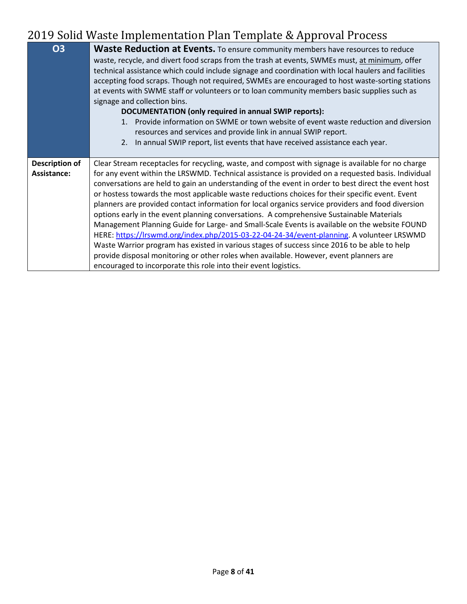| <b>O3</b>             | <b>Waste Reduction at Events.</b> To ensure community members have resources to reduce               |
|-----------------------|------------------------------------------------------------------------------------------------------|
|                       | waste, recycle, and divert food scraps from the trash at events, SWMEs must, at minimum, offer       |
|                       | technical assistance which could include signage and coordination with local haulers and facilities  |
|                       | accepting food scraps. Though not required, SWMEs are encouraged to host waste-sorting stations      |
|                       | at events with SWME staff or volunteers or to loan community members basic supplies such as          |
|                       | signage and collection bins.                                                                         |
|                       | DOCUMENTATION (only required in annual SWIP reports):                                                |
|                       | Provide information on SWME or town website of event waste reduction and diversion<br>1 <sup>1</sup> |
|                       | resources and services and provide link in annual SWIP report.                                       |
|                       | 2. In annual SWIP report, list events that have received assistance each year.                       |
|                       |                                                                                                      |
| <b>Description of</b> | Clear Stream receptacles for recycling, waste, and compost with signage is available for no charge   |
| Assistance:           | for any event within the LRSWMD. Technical assistance is provided on a requested basis. Individual   |
|                       | conversations are held to gain an understanding of the event in order to best direct the event host  |
|                       | or hostess towards the most applicable waste reductions choices for their specific event. Event      |
|                       | planners are provided contact information for local organics service providers and food diversion    |
|                       | options early in the event planning conversations. A comprehensive Sustainable Materials             |
|                       | Management Planning Guide for Large- and Small-Scale Events is available on the website FOUND        |
|                       | HERE: https://lrswmd.org/index.php/2015-03-22-04-24-34/event-planning. A volunteer LRSWMD            |
|                       | Waste Warrior program has existed in various stages of success since 2016 to be able to help         |
|                       | provide disposal monitoring or other roles when available. However, event planners are               |
|                       | encouraged to incorporate this role into their event logistics.                                      |
|                       |                                                                                                      |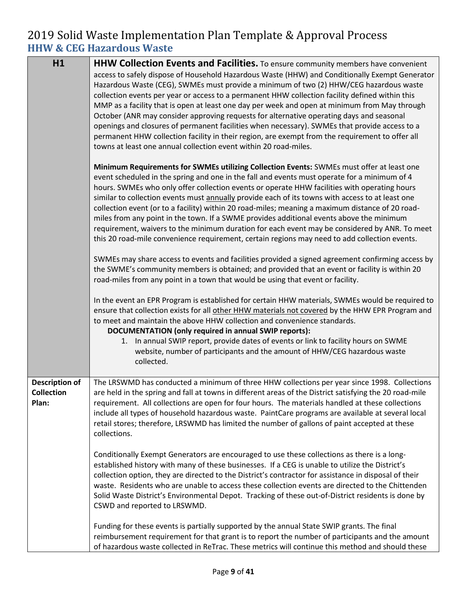### 2019 Solid Waste Implementation Plan Template & Approval Process **HHW & CEG Hazardous Waste**

| H1                                                  | HHW Collection Events and Facilities. To ensure community members have convenient<br>access to safely dispose of Household Hazardous Waste (HHW) and Conditionally Exempt Generator<br>Hazardous Waste (CEG), SWMEs must provide a minimum of two (2) HHW/CEG hazardous waste<br>collection events per year or access to a permanent HHW collection facility defined within this<br>MMP as a facility that is open at least one day per week and open at minimum from May through<br>October (ANR may consider approving requests for alternative operating days and seasonal<br>openings and closures of permanent facilities when necessary). SWMEs that provide access to a<br>permanent HHW collection facility in their region, are exempt from the requirement to offer all<br>towns at least one annual collection event within 20 road-miles. |
|-----------------------------------------------------|-------------------------------------------------------------------------------------------------------------------------------------------------------------------------------------------------------------------------------------------------------------------------------------------------------------------------------------------------------------------------------------------------------------------------------------------------------------------------------------------------------------------------------------------------------------------------------------------------------------------------------------------------------------------------------------------------------------------------------------------------------------------------------------------------------------------------------------------------------|
|                                                     | Minimum Requirements for SWMEs utilizing Collection Events: SWMEs must offer at least one<br>event scheduled in the spring and one in the fall and events must operate for a minimum of 4<br>hours. SWMEs who only offer collection events or operate HHW facilities with operating hours<br>similar to collection events must annually provide each of its towns with access to at least one<br>collection event (or to a facility) within 20 road-miles; meaning a maximum distance of 20 road-<br>miles from any point in the town. If a SWME provides additional events above the minimum<br>requirement, waivers to the minimum duration for each event may be considered by ANR. To meet<br>this 20 road-mile convenience requirement, certain regions may need to add collection events.                                                       |
|                                                     | SWMEs may share access to events and facilities provided a signed agreement confirming access by<br>the SWME's community members is obtained; and provided that an event or facility is within 20<br>road-miles from any point in a town that would be using that event or facility.                                                                                                                                                                                                                                                                                                                                                                                                                                                                                                                                                                  |
|                                                     | In the event an EPR Program is established for certain HHW materials, SWMEs would be required to<br>ensure that collection exists for all other HHW materials not covered by the HHW EPR Program and<br>to meet and maintain the above HHW collection and convenience standards.<br>DOCUMENTATION (only required in annual SWIP reports):<br>1. In annual SWIP report, provide dates of events or link to facility hours on SWME<br>website, number of participants and the amount of HHW/CEG hazardous waste<br>collected.                                                                                                                                                                                                                                                                                                                           |
| <b>Description of</b><br><b>Collection</b><br>Plan: | The LRSWMD has conducted a minimum of three HHW collections per year since 1998. Collections<br>are held in the spring and fall at towns in different areas of the District satisfying the 20 road-mile<br>requirement. All collections are open for four hours. The materials handled at these collections<br>include all types of household hazardous waste. PaintCare programs are available at several local<br>retail stores; therefore, LRSWMD has limited the number of gallons of paint accepted at these<br>collections.                                                                                                                                                                                                                                                                                                                     |
|                                                     | Conditionally Exempt Generators are encouraged to use these collections as there is a long-<br>established history with many of these businesses. If a CEG is unable to utilize the District's<br>collection option, they are directed to the District's contractor for assistance in disposal of their<br>waste. Residents who are unable to access these collection events are directed to the Chittenden<br>Solid Waste District's Environmental Depot. Tracking of these out-of-District residents is done by<br>CSWD and reported to LRSWMD.                                                                                                                                                                                                                                                                                                     |
|                                                     | Funding for these events is partially supported by the annual State SWIP grants. The final<br>reimbursement requirement for that grant is to report the number of participants and the amount<br>of hazardous waste collected in ReTrac. These metrics will continue this method and should these                                                                                                                                                                                                                                                                                                                                                                                                                                                                                                                                                     |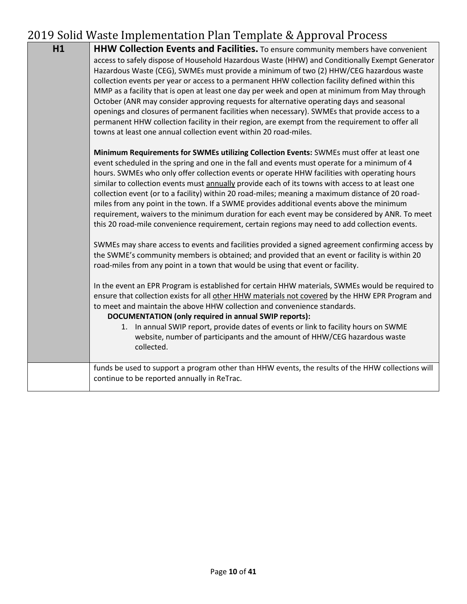| H1 | <b>HHW Collection Events and Facilities.</b> To ensure community members have convenient<br>access to safely dispose of Household Hazardous Waste (HHW) and Conditionally Exempt Generator<br>Hazardous Waste (CEG), SWMEs must provide a minimum of two (2) HHW/CEG hazardous waste<br>collection events per year or access to a permanent HHW collection facility defined within this<br>MMP as a facility that is open at least one day per week and open at minimum from May through<br>October (ANR may consider approving requests for alternative operating days and seasonal<br>openings and closures of permanent facilities when necessary). SWMEs that provide access to a<br>permanent HHW collection facility in their region, are exempt from the requirement to offer all<br>towns at least one annual collection event within 20 road-miles.<br>Minimum Requirements for SWMEs utilizing Collection Events: SWMEs must offer at least one<br>event scheduled in the spring and one in the fall and events must operate for a minimum of 4<br>hours. SWMEs who only offer collection events or operate HHW facilities with operating hours<br>similar to collection events must annually provide each of its towns with access to at least one<br>collection event (or to a facility) within 20 road-miles; meaning a maximum distance of 20 road-<br>miles from any point in the town. If a SWME provides additional events above the minimum<br>requirement, waivers to the minimum duration for each event may be considered by ANR. To meet<br>this 20 road-mile convenience requirement, certain regions may need to add collection events.<br>SWMEs may share access to events and facilities provided a signed agreement confirming access by<br>the SWME's community members is obtained; and provided that an event or facility is within 20<br>road-miles from any point in a town that would be using that event or facility.<br>In the event an EPR Program is established for certain HHW materials, SWMEs would be required to<br>ensure that collection exists for all other HHW materials not covered by the HHW EPR Program and<br>to meet and maintain the above HHW collection and convenience standards.<br>DOCUMENTATION (only required in annual SWIP reports):<br>1. In annual SWIP report, provide dates of events or link to facility hours on SWME<br>website, number of participants and the amount of HHW/CEG hazardous waste<br>collected. |
|----|----------------------------------------------------------------------------------------------------------------------------------------------------------------------------------------------------------------------------------------------------------------------------------------------------------------------------------------------------------------------------------------------------------------------------------------------------------------------------------------------------------------------------------------------------------------------------------------------------------------------------------------------------------------------------------------------------------------------------------------------------------------------------------------------------------------------------------------------------------------------------------------------------------------------------------------------------------------------------------------------------------------------------------------------------------------------------------------------------------------------------------------------------------------------------------------------------------------------------------------------------------------------------------------------------------------------------------------------------------------------------------------------------------------------------------------------------------------------------------------------------------------------------------------------------------------------------------------------------------------------------------------------------------------------------------------------------------------------------------------------------------------------------------------------------------------------------------------------------------------------------------------------------------------------------------------------------------------------------------------------------------------------------------------------------------------------------------------------------------------------------------------------------------------------------------------------------------------------------------------------------------------------------------------------------------------------------------------------------------------------------------------------------------------------------------------------------------------------------------------|
|    | funds be used to support a program other than HHW events, the results of the HHW collections will<br>continue to be reported annually in ReTrac.                                                                                                                                                                                                                                                                                                                                                                                                                                                                                                                                                                                                                                                                                                                                                                                                                                                                                                                                                                                                                                                                                                                                                                                                                                                                                                                                                                                                                                                                                                                                                                                                                                                                                                                                                                                                                                                                                                                                                                                                                                                                                                                                                                                                                                                                                                                                       |
|    |                                                                                                                                                                                                                                                                                                                                                                                                                                                                                                                                                                                                                                                                                                                                                                                                                                                                                                                                                                                                                                                                                                                                                                                                                                                                                                                                                                                                                                                                                                                                                                                                                                                                                                                                                                                                                                                                                                                                                                                                                                                                                                                                                                                                                                                                                                                                                                                                                                                                                        |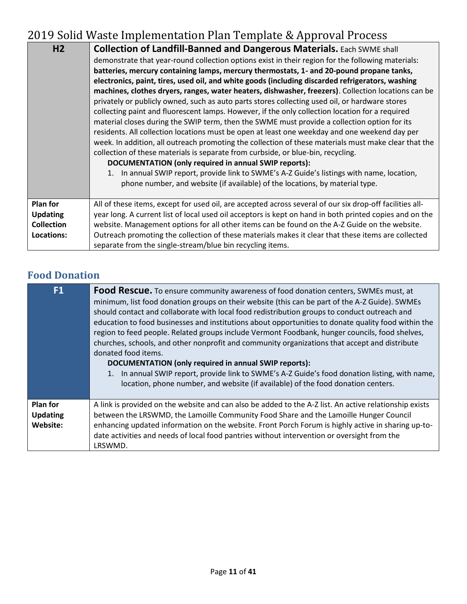| H <sub>2</sub>                     | <b>Collection of Landfill-Banned and Dangerous Materials.</b> Each SWME shall<br>demonstrate that year-round collection options exist in their region for the following materials:<br>batteries, mercury containing lamps, mercury thermostats, 1- and 20-pound propane tanks,<br>electronics, paint, tires, used oil, and white goods (including discarded refrigerators, washing<br>machines, clothes dryers, ranges, water heaters, dishwasher, freezers). Collection locations can be<br>privately or publicly owned, such as auto parts stores collecting used oil, or hardware stores<br>collecting paint and fluorescent lamps. However, if the only collection location for a required<br>material closes during the SWIP term, then the SWME must provide a collection option for its<br>residents. All collection locations must be open at least one weekday and one weekend day per<br>week. In addition, all outreach promoting the collection of these materials must make clear that the<br>collection of these materials is separate from curbside, or blue-bin, recycling.<br>DOCUMENTATION (only required in annual SWIP reports):<br>1. In annual SWIP report, provide link to SWME's A-Z Guide's listings with name, location,<br>phone number, and website (if available) of the locations, by material type. |
|------------------------------------|------------------------------------------------------------------------------------------------------------------------------------------------------------------------------------------------------------------------------------------------------------------------------------------------------------------------------------------------------------------------------------------------------------------------------------------------------------------------------------------------------------------------------------------------------------------------------------------------------------------------------------------------------------------------------------------------------------------------------------------------------------------------------------------------------------------------------------------------------------------------------------------------------------------------------------------------------------------------------------------------------------------------------------------------------------------------------------------------------------------------------------------------------------------------------------------------------------------------------------------------------------------------------------------------------------------------------------|
| <b>Plan for</b><br><b>Updating</b> | All of these items, except for used oil, are accepted across several of our six drop-off facilities all-<br>year long. A current list of local used oil acceptors is kept on hand in both printed copies and on the                                                                                                                                                                                                                                                                                                                                                                                                                                                                                                                                                                                                                                                                                                                                                                                                                                                                                                                                                                                                                                                                                                                |
| <b>Collection</b>                  | website. Management options for all other items can be found on the A-Z Guide on the website.                                                                                                                                                                                                                                                                                                                                                                                                                                                                                                                                                                                                                                                                                                                                                                                                                                                                                                                                                                                                                                                                                                                                                                                                                                      |
| Locations:                         | Outreach promoting the collection of these materials makes it clear that these items are collected<br>separate from the single-stream/blue bin recycling items.                                                                                                                                                                                                                                                                                                                                                                                                                                                                                                                                                                                                                                                                                                                                                                                                                                                                                                                                                                                                                                                                                                                                                                    |

# **Food Donation**

| F <sub>1</sub>                                 | <b>Food Rescue.</b> To ensure community awareness of food donation centers, SWMEs must, at<br>minimum, list food donation groups on their website (this can be part of the A-Z Guide). SWMEs<br>should contact and collaborate with local food redistribution groups to conduct outreach and<br>education to food businesses and institutions about opportunities to donate quality food within the<br>region to feed people. Related groups include Vermont Foodbank, hunger councils, food shelves,<br>churches, schools, and other nonprofit and community organizations that accept and distribute<br>donated food items.<br>DOCUMENTATION (only required in annual SWIP reports):<br>1. In annual SWIP report, provide link to SWME's A-Z Guide's food donation listing, with name,<br>location, phone number, and website (if available) of the food donation centers. |
|------------------------------------------------|------------------------------------------------------------------------------------------------------------------------------------------------------------------------------------------------------------------------------------------------------------------------------------------------------------------------------------------------------------------------------------------------------------------------------------------------------------------------------------------------------------------------------------------------------------------------------------------------------------------------------------------------------------------------------------------------------------------------------------------------------------------------------------------------------------------------------------------------------------------------------|
| <b>Plan for</b><br><b>Updating</b><br>Website: | A link is provided on the website and can also be added to the A-Z list. An active relationship exists<br>between the LRSWMD, the Lamoille Community Food Share and the Lamoille Hunger Council<br>enhancing updated information on the website. Front Porch Forum is highly active in sharing up-to-<br>date activities and needs of local food pantries without intervention or oversight from the<br>LRSWMD.                                                                                                                                                                                                                                                                                                                                                                                                                                                              |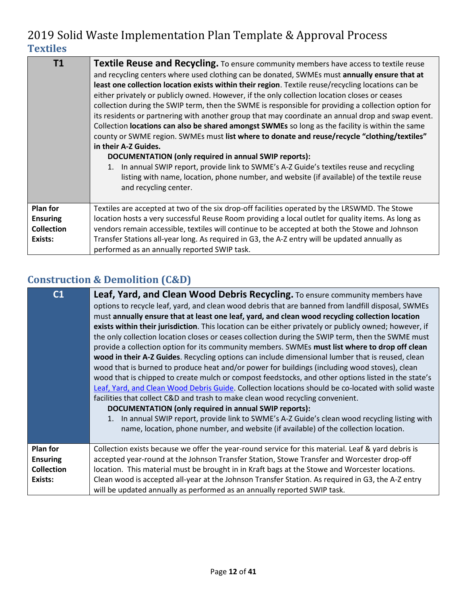| T1                | Textile Reuse and Recycling. To ensure community members have access to textile reuse<br>and recycling centers where used clothing can be donated, SWMEs must annually ensure that at<br>least one collection location exists within their region. Textile reuse/recycling locations can be<br>either privately or publicly owned. However, if the only collection location closes or ceases<br>collection during the SWIP term, then the SWME is responsible for providing a collection option for<br>its residents or partnering with another group that may coordinate an annual drop and swap event.<br>Collection locations can also be shared amongst SWMEs so long as the facility is within the same<br>county or SWME region. SWMEs must list where to donate and reuse/recycle "clothing/textiles"<br>in their A-Z Guides.<br>DOCUMENTATION (only required in annual SWIP reports):<br>1. In annual SWIP report, provide link to SWME's A-Z Guide's textiles reuse and recycling<br>listing with name, location, phone number, and website (if available) of the textile reuse<br>and recycling center. |  |  |
|-------------------|-------------------------------------------------------------------------------------------------------------------------------------------------------------------------------------------------------------------------------------------------------------------------------------------------------------------------------------------------------------------------------------------------------------------------------------------------------------------------------------------------------------------------------------------------------------------------------------------------------------------------------------------------------------------------------------------------------------------------------------------------------------------------------------------------------------------------------------------------------------------------------------------------------------------------------------------------------------------------------------------------------------------------------------------------------------------------------------------------------------------|--|--|
| Plan for          | Textiles are accepted at two of the six drop-off facilities operated by the LRSWMD. The Stowe                                                                                                                                                                                                                                                                                                                                                                                                                                                                                                                                                                                                                                                                                                                                                                                                                                                                                                                                                                                                                     |  |  |
| <b>Ensuring</b>   | location hosts a very successful Reuse Room providing a local outlet for quality items. As long as                                                                                                                                                                                                                                                                                                                                                                                                                                                                                                                                                                                                                                                                                                                                                                                                                                                                                                                                                                                                                |  |  |
| <b>Collection</b> | vendors remain accessible, textiles will continue to be accepted at both the Stowe and Johnson                                                                                                                                                                                                                                                                                                                                                                                                                                                                                                                                                                                                                                                                                                                                                                                                                                                                                                                                                                                                                    |  |  |
| Exists:           | Transfer Stations all-year long. As required in G3, the A-Z entry will be updated annually as                                                                                                                                                                                                                                                                                                                                                                                                                                                                                                                                                                                                                                                                                                                                                                                                                                                                                                                                                                                                                     |  |  |
|                   | performed as an annually reported SWIP task.                                                                                                                                                                                                                                                                                                                                                                                                                                                                                                                                                                                                                                                                                                                                                                                                                                                                                                                                                                                                                                                                      |  |  |

# **Construction & Demolition (C&D)**

| C <sub>1</sub>                     | <b>Leaf, Yard, and Clean Wood Debris Recycling.</b> To ensure community members have<br>options to recycle leaf, yard, and clean wood debris that are banned from landfill disposal, SWMEs<br>must annually ensure that at least one leaf, yard, and clean wood recycling collection location<br>exists within their jurisdiction. This location can be either privately or publicly owned; however, if<br>the only collection location closes or ceases collection during the SWIP term, then the SWME must<br>provide a collection option for its community members. SWMEs must list where to drop off clean<br>wood in their A-Z Guides. Recycling options can include dimensional lumber that is reused, clean<br>wood that is burned to produce heat and/or power for buildings (including wood stoves), clean<br>wood that is chipped to create mulch or compost feedstocks, and other options listed in the state's<br>Leaf, Yard, and Clean Wood Debris Guide. Collection locations should be co-located with solid waste<br>facilities that collect C&D and trash to make clean wood recycling convenient.<br>DOCUMENTATION (only required in annual SWIP reports):<br>In annual SWIP report, provide link to SWME's A-Z Guide's clean wood recycling listing with<br>name, location, phone number, and website (if available) of the collection location. |
|------------------------------------|---------------------------------------------------------------------------------------------------------------------------------------------------------------------------------------------------------------------------------------------------------------------------------------------------------------------------------------------------------------------------------------------------------------------------------------------------------------------------------------------------------------------------------------------------------------------------------------------------------------------------------------------------------------------------------------------------------------------------------------------------------------------------------------------------------------------------------------------------------------------------------------------------------------------------------------------------------------------------------------------------------------------------------------------------------------------------------------------------------------------------------------------------------------------------------------------------------------------------------------------------------------------------------------------------------------------------------------------------------------------|
| <b>Plan for</b><br><b>Ensuring</b> | Collection exists because we offer the year-round service for this material. Leaf & yard debris is<br>accepted year-round at the Johnson Transfer Station, Stowe Transfer and Worcester drop-off                                                                                                                                                                                                                                                                                                                                                                                                                                                                                                                                                                                                                                                                                                                                                                                                                                                                                                                                                                                                                                                                                                                                                                    |
| <b>Collection</b><br>Exists:       | location. This material must be brought in in Kraft bags at the Stowe and Worcester locations.<br>Clean wood is accepted all-year at the Johnson Transfer Station. As required in G3, the A-Z entry<br>will be updated annually as performed as an annually reported SWIP task.                                                                                                                                                                                                                                                                                                                                                                                                                                                                                                                                                                                                                                                                                                                                                                                                                                                                                                                                                                                                                                                                                     |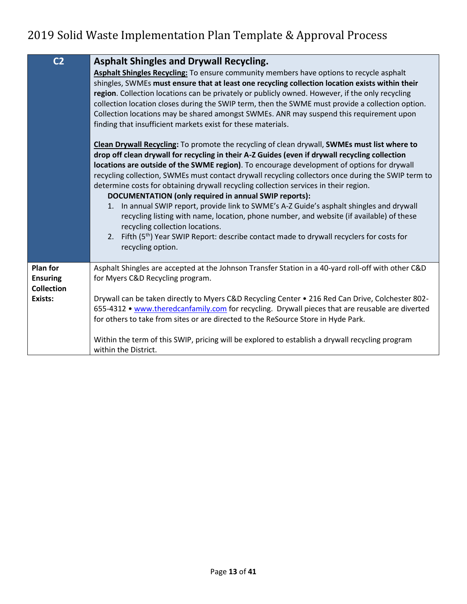| C <sub>2</sub>                                                     | <b>Asphalt Shingles and Drywall Recycling.</b><br>Asphalt Shingles Recycling: To ensure community members have options to recycle asphalt<br>shingles, SWMEs must ensure that at least one recycling collection location exists within their<br>region. Collection locations can be privately or publicly owned. However, if the only recycling<br>collection location closes during the SWIP term, then the SWME must provide a collection option.<br>Collection locations may be shared amongst SWMEs. ANR may suspend this requirement upon<br>finding that insufficient markets exist for these materials.<br>Clean Drywall Recycling: To promote the recycling of clean drywall, SWMEs must list where to<br>drop off clean drywall for recycling in their A-Z Guides (even if drywall recycling collection |
|--------------------------------------------------------------------|------------------------------------------------------------------------------------------------------------------------------------------------------------------------------------------------------------------------------------------------------------------------------------------------------------------------------------------------------------------------------------------------------------------------------------------------------------------------------------------------------------------------------------------------------------------------------------------------------------------------------------------------------------------------------------------------------------------------------------------------------------------------------------------------------------------|
|                                                                    | locations are outside of the SWME region). To encourage development of options for drywall<br>recycling collection, SWMEs must contact drywall recycling collectors once during the SWIP term to<br>determine costs for obtaining drywall recycling collection services in their region.<br>DOCUMENTATION (only required in annual SWIP reports):<br>1. In annual SWIP report, provide link to SWME's A-Z Guide's asphalt shingles and drywall<br>recycling listing with name, location, phone number, and website (if available) of these<br>recycling collection locations.<br>2. Fifth (5 <sup>th</sup> ) Year SWIP Report: describe contact made to drywall recyclers for costs for<br>recycling option.                                                                                                     |
| <b>Plan for</b><br><b>Ensuring</b><br><b>Collection</b><br>Exists: | Asphalt Shingles are accepted at the Johnson Transfer Station in a 40-yard roll-off with other C&D<br>for Myers C&D Recycling program.<br>Drywall can be taken directly to Myers C&D Recycling Center • 216 Red Can Drive, Colchester 802-<br>655-4312 • www.theredcanfamily.com for recycling. Drywall pieces that are reusable are diverted<br>for others to take from sites or are directed to the ReSource Store in Hyde Park.<br>Within the term of this SWIP, pricing will be explored to establish a drywall recycling program<br>within the District.                                                                                                                                                                                                                                                    |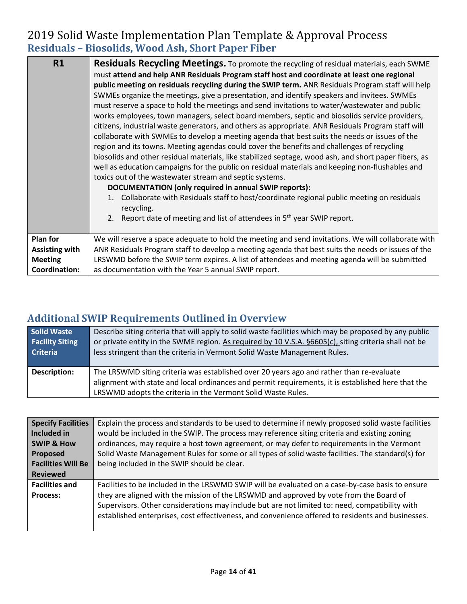### 2019 Solid Waste Implementation Plan Template & Approval Process **Residuals – Biosolids, Wood Ash, Short Paper Fiber**

| R1                   | <b>Residuals Recycling Meetings.</b> To promote the recycling of residual materials, each SWME<br>must attend and help ANR Residuals Program staff host and coordinate at least one regional<br>public meeting on residuals recycling during the SWIP term. ANR Residuals Program staff will help<br>SWMEs organize the meetings, give a presentation, and identify speakers and invitees. SWMEs<br>must reserve a space to hold the meetings and send invitations to water/wastewater and public<br>works employees, town managers, select board members, septic and biosolids service providers,<br>citizens, industrial waste generators, and others as appropriate. ANR Residuals Program staff will<br>collaborate with SWMEs to develop a meeting agenda that best suits the needs or issues of the<br>region and its towns. Meeting agendas could cover the benefits and challenges of recycling<br>biosolids and other residual materials, like stabilized septage, wood ash, and short paper fibers, as<br>well as education campaigns for the public on residual materials and keeping non-flushables and<br>toxics out of the wastewater stream and septic systems.<br>DOCUMENTATION (only required in annual SWIP reports):<br>Collaborate with Residuals staff to host/coordinate regional public meeting on residuals<br>1.<br>recycling.<br>2. Report date of meeting and list of attendees in 5 <sup>th</sup> year SWIP report. |  |  |  |
|----------------------|-------------------------------------------------------------------------------------------------------------------------------------------------------------------------------------------------------------------------------------------------------------------------------------------------------------------------------------------------------------------------------------------------------------------------------------------------------------------------------------------------------------------------------------------------------------------------------------------------------------------------------------------------------------------------------------------------------------------------------------------------------------------------------------------------------------------------------------------------------------------------------------------------------------------------------------------------------------------------------------------------------------------------------------------------------------------------------------------------------------------------------------------------------------------------------------------------------------------------------------------------------------------------------------------------------------------------------------------------------------------------------------------------------------------------------------------------|--|--|--|
| <b>Plan for</b>      | We will reserve a space adequate to hold the meeting and send invitations. We will collaborate with                                                                                                                                                                                                                                                                                                                                                                                                                                                                                                                                                                                                                                                                                                                                                                                                                                                                                                                                                                                                                                                                                                                                                                                                                                                                                                                                             |  |  |  |
| Assisting with       | ANR Residuals Program staff to develop a meeting agenda that best suits the needs or issues of the                                                                                                                                                                                                                                                                                                                                                                                                                                                                                                                                                                                                                                                                                                                                                                                                                                                                                                                                                                                                                                                                                                                                                                                                                                                                                                                                              |  |  |  |
| <b>Meeting</b>       | LRSWMD before the SWIP term expires. A list of attendees and meeting agenda will be submitted                                                                                                                                                                                                                                                                                                                                                                                                                                                                                                                                                                                                                                                                                                                                                                                                                                                                                                                                                                                                                                                                                                                                                                                                                                                                                                                                                   |  |  |  |
| <b>Coordination:</b> | as documentation with the Year 5 annual SWIP report.                                                                                                                                                                                                                                                                                                                                                                                                                                                                                                                                                                                                                                                                                                                                                                                                                                                                                                                                                                                                                                                                                                                                                                                                                                                                                                                                                                                            |  |  |  |

### **Additional SWIP Requirements Outlined in Overview**

| <b>Solid Waste</b>     | Describe siting criteria that will apply to solid waste facilities which may be proposed by any public                                                                                                                                                         |
|------------------------|----------------------------------------------------------------------------------------------------------------------------------------------------------------------------------------------------------------------------------------------------------------|
| <b>Facility Siting</b> | or private entity in the SWME region. As required by 10 V.S.A. §6605(c), siting criteria shall not be                                                                                                                                                          |
| <b>Criteria</b>        | less stringent than the criteria in Vermont Solid Waste Management Rules.                                                                                                                                                                                      |
| <b>Description:</b>    | The LRSWMD siting criteria was established over 20 years ago and rather than re-evaluate<br>alignment with state and local ordinances and permit requirements, it is established here that the<br>LRSWMD adopts the criteria in the Vermont Solid Waste Rules. |

| <b>Specify Facilities</b> | Explain the process and standards to be used to determine if newly proposed solid waste facilities |
|---------------------------|----------------------------------------------------------------------------------------------------|
| Included in               | would be included in the SWIP. The process may reference siting criteria and existing zoning       |
| <b>SWIP &amp; How</b>     | ordinances, may require a host town agreement, or may defer to requirements in the Vermont         |
| Proposed                  | Solid Waste Management Rules for some or all types of solid waste facilities. The standard(s) for  |
| <b>Facilities Will Be</b> | being included in the SWIP should be clear.                                                        |
| <b>Reviewed</b>           |                                                                                                    |
| <b>Facilities and</b>     | Facilities to be included in the LRSWMD SWIP will be evaluated on a case-by-case basis to ensure   |
| <b>Process:</b>           | they are aligned with the mission of the LRSWMD and approved by vote from the Board of             |
|                           | Supervisors. Other considerations may include but are not limited to: need, compatibility with     |
|                           | established enterprises, cost effectiveness, and convenience offered to residents and businesses.  |
|                           |                                                                                                    |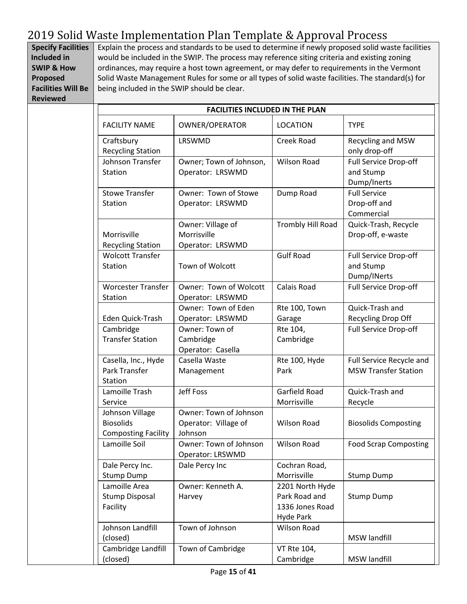**Specify Facilities Included in SWIP & How Proposed Facilities Will Be Reviewed** Explain the process and standards to be used to determine if newly proposed solid waste facilities would be included in the SWIP. The process may reference siting criteria and existing zoning ordinances, may require a host town agreement, or may defer to requirements in the Vermont Solid Waste Management Rules for some or all types of solid waste facilities. The standard(s) for being included in the SWIP should be clear.

| <b>FACILITIES INCLUDED IN THE PLAN</b>                            |                                                           |                                                                         |                                                         |
|-------------------------------------------------------------------|-----------------------------------------------------------|-------------------------------------------------------------------------|---------------------------------------------------------|
| <b>FACILITY NAME</b>                                              | OWNER/OPERATOR                                            | <b>LOCATION</b>                                                         | <b>TYPE</b>                                             |
| Craftsbury<br><b>Recycling Station</b>                            | LRSWMD                                                    | <b>Creek Road</b>                                                       | Recycling and MSW<br>only drop-off                      |
| Johnson Transfer<br><b>Station</b>                                | Owner; Town of Johnson,<br>Operator: LRSWMD               | <b>Wilson Road</b>                                                      | Full Service Drop-off<br>and Stump<br>Dump/Inerts       |
| <b>Stowe Transfer</b><br>Station                                  | Owner: Town of Stowe<br>Operator: LRSWMD                  | Dump Road                                                               | <b>Full Service</b><br>Drop-off and<br>Commercial       |
| Morrisville<br><b>Recycling Station</b>                           | Owner: Village of<br>Morrisville<br>Operator: LRSWMD      | Trombly Hill Road                                                       | Quick-Trash, Recycle<br>Drop-off, e-waste               |
| <b>Wolcott Transfer</b><br>Station                                | Town of Wolcott                                           | <b>Gulf Road</b>                                                        | Full Service Drop-off<br>and Stump<br>Dump/INerts       |
| <b>Worcester Transfer</b><br>Station                              | Owner: Town of Wolcott<br>Operator: LRSWMD                | Calais Road                                                             | Full Service Drop-off                                   |
| Eden Quick-Trash                                                  | Owner: Town of Eden<br>Operator: LRSWMD                   | Rte 100, Town<br>Garage                                                 | Quick-Trash and<br>Recycling Drop Off                   |
| Cambridge<br><b>Transfer Station</b>                              | Owner: Town of<br>Cambridge<br>Operator: Casella          | Rte 104,<br>Cambridge                                                   | Full Service Drop-off                                   |
| Casella, Inc., Hyde<br>Park Transfer<br>Station                   | Casella Waste<br>Management                               | Rte 100, Hyde<br>Park                                                   | Full Service Recycle and<br><b>MSW Transfer Station</b> |
| Lamoille Trash<br>Service                                         | <b>Jeff Foss</b>                                          | Garfield Road<br>Morrisville                                            | Quick-Trash and<br>Recycle                              |
| Johnson Village<br><b>Biosolids</b><br><b>Composting Facility</b> | Owner: Town of Johnson<br>Operator: Village of<br>Johnson | <b>Wilson Road</b>                                                      | <b>Biosolids Composting</b>                             |
| Lamoille Soil                                                     | Owner: Town of Johnson<br>Operator: LRSWMD                | Wilson Road                                                             | <b>Food Scrap Composting</b>                            |
| Dale Percy Inc.<br><b>Stump Dump</b>                              | Dale Percy Inc                                            | Cochran Road,<br>Morrisville                                            | <b>Stump Dump</b>                                       |
| Lamoille Area<br><b>Stump Disposal</b><br>Facility                | Owner: Kenneth A.<br>Harvey                               | 2201 North Hyde<br>Park Road and<br>1336 Jones Road<br><b>Hyde Park</b> | <b>Stump Dump</b>                                       |
| Johnson Landfill<br>(closed)                                      | Town of Johnson                                           | <b>Wilson Road</b>                                                      | <b>MSW landfill</b>                                     |
| Cambridge Landfill<br>(closed)                                    | Town of Cambridge                                         | VT Rte 104,<br>Cambridge                                                | MSW landfill                                            |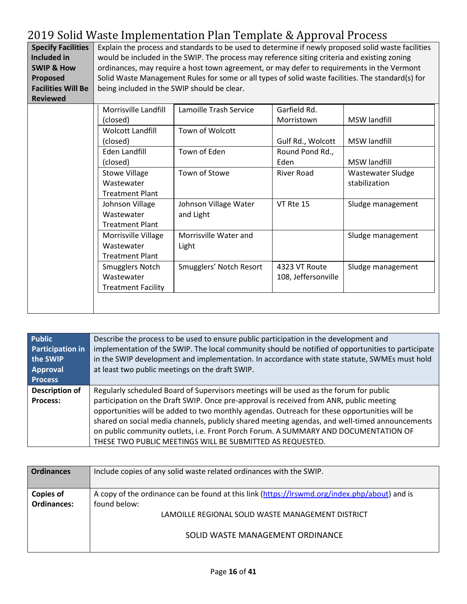| <b>Specify Facilities</b> | Explain the process and standards to be used to determine if newly proposed solid waste facilities |
|---------------------------|----------------------------------------------------------------------------------------------------|
| Included in               | would be included in the SWIP. The process may reference siting criteria and existing zoning       |
| <b>SWIP &amp; How</b>     | ordinances, may require a host town agreement, or may defer to requirements in the Vermont         |
| Proposed                  | Solid Waste Management Rules for some or all types of solid waste facilities. The standard(s) for  |
| <b>Facilities Will Be</b> | being included in the SWIP should be clear.                                                        |
| <b>Reviewed</b>           |                                                                                                    |

| Morrisville Landfill      | Lamoille Trash Service  | Garfield Rd.        |                     |
|---------------------------|-------------------------|---------------------|---------------------|
| (closed)                  |                         | Morristown          | <b>MSW</b> landfill |
| <b>Wolcott Landfill</b>   | Town of Wolcott         |                     |                     |
| (closed)                  |                         | Gulf Rd., Wolcott   | <b>MSW landfill</b> |
| Eden Landfill             | Town of Eden            | Round Pond Rd.,     |                     |
| (closed)                  |                         | Eden                | MSW landfill        |
| <b>Stowe Village</b>      | Town of Stowe           | River Road          | Wastewater Sludge   |
| Wastewater                |                         |                     | stabilization       |
| <b>Treatment Plant</b>    |                         |                     |                     |
| Johnson Village           | Johnson Village Water   | VT Rte 15           | Sludge management   |
| Wastewater                | and Light               |                     |                     |
| <b>Treatment Plant</b>    |                         |                     |                     |
| Morrisville Village       | Morrisville Water and   |                     | Sludge management   |
| Wastewater                | Light                   |                     |                     |
| <b>Treatment Plant</b>    |                         |                     |                     |
| Smugglers Notch           | Smugglers' Notch Resort | 4323 VT Route       | Sludge management   |
| Wastewater                |                         | 108, Jeffersonville |                     |
| <b>Treatment Facility</b> |                         |                     |                     |
|                           |                         |                     |                     |
|                           |                         |                     |                     |

| <b>Public</b><br><b>Participation in</b><br>the SWIP<br>Approval<br><b>Process</b> | Describe the process to be used to ensure public participation in the development and<br>implementation of the SWIP. The local community should be notified of opportunities to participate<br>in the SWIP development and implementation. In accordance with state statute, SWMEs must hold<br>at least two public meetings on the draft SWIP.                                                                                                                                                                                         |
|------------------------------------------------------------------------------------|-----------------------------------------------------------------------------------------------------------------------------------------------------------------------------------------------------------------------------------------------------------------------------------------------------------------------------------------------------------------------------------------------------------------------------------------------------------------------------------------------------------------------------------------|
| <b>Description of</b><br><b>Process:</b>                                           | Regularly scheduled Board of Supervisors meetings will be used as the forum for public<br>participation on the Draft SWIP. Once pre-approval is received from ANR, public meeting<br>opportunities will be added to two monthly agendas. Outreach for these opportunities will be<br>shared on social media channels, publicly shared meeting agendas, and well-timed announcements<br>on public community outlets, i.e. Front Porch Forum. A SUMMARY AND DOCUMENTATION OF<br>THESE TWO PUBLIC MEETINGS WILL BE SUBMITTED AS REQUESTED. |

| <b>Ordinances</b>  | Include copies of any solid waste related ordinances with the SWIP.                           |
|--------------------|-----------------------------------------------------------------------------------------------|
| <b>Copies of</b>   | A copy of the ordinance can be found at this link (https://lrswmd.org/index.php/about) and is |
| <b>Ordinances:</b> | found below:                                                                                  |
|                    | LAMOILLE REGIONAL SOLID WASTE MANAGEMENT DISTRICT                                             |
|                    | SOLID WASTE MANAGEMENT ORDINANCE                                                              |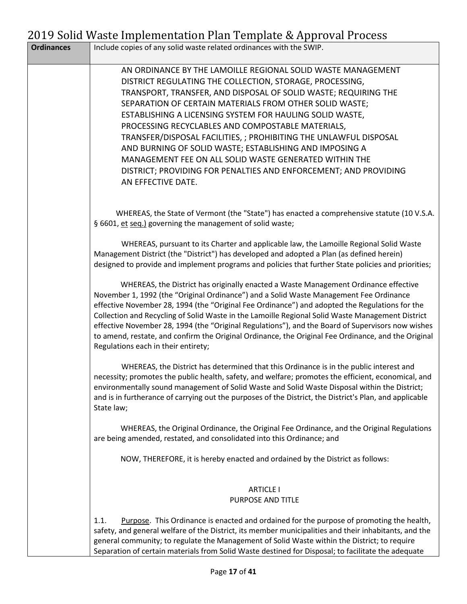|                   | 2019 bond waste implementation I lan Template & Approval Frocess                                                                                                                                                                                                                                                                                                                                                                                                                                                                                                                                                                                            |
|-------------------|-------------------------------------------------------------------------------------------------------------------------------------------------------------------------------------------------------------------------------------------------------------------------------------------------------------------------------------------------------------------------------------------------------------------------------------------------------------------------------------------------------------------------------------------------------------------------------------------------------------------------------------------------------------|
| <b>Ordinances</b> | Include copies of any solid waste related ordinances with the SWIP.                                                                                                                                                                                                                                                                                                                                                                                                                                                                                                                                                                                         |
|                   | AN ORDINANCE BY THE LAMOILLE REGIONAL SOLID WASTE MANAGEMENT<br>DISTRICT REGULATING THE COLLECTION, STORAGE, PROCESSING,<br>TRANSPORT, TRANSFER, AND DISPOSAL OF SOLID WASTE; REQUIRING THE<br>SEPARATION OF CERTAIN MATERIALS FROM OTHER SOLID WASTE;<br>ESTABLISHING A LICENSING SYSTEM FOR HAULING SOLID WASTE,<br>PROCESSING RECYCLABLES AND COMPOSTABLE MATERIALS,<br>TRANSFER/DISPOSAL FACILITIES, ; PROHIBITING THE UNLAWFUL DISPOSAL<br>AND BURNING OF SOLID WASTE; ESTABLISHING AND IMPOSING A<br>MANAGEMENT FEE ON ALL SOLID WASTE GENERATED WITHIN THE<br>DISTRICT; PROVIDING FOR PENALTIES AND ENFORCEMENT; AND PROVIDING<br>AN EFFECTIVE DATE. |
|                   | WHEREAS, the State of Vermont (the "State") has enacted a comprehensive statute (10 V.S.A.<br>§ 6601, et seq.) governing the management of solid waste;                                                                                                                                                                                                                                                                                                                                                                                                                                                                                                     |
|                   | WHEREAS, pursuant to its Charter and applicable law, the Lamoille Regional Solid Waste<br>Management District (the "District") has developed and adopted a Plan (as defined herein)<br>designed to provide and implement programs and policies that further State policies and priorities;                                                                                                                                                                                                                                                                                                                                                                  |
|                   | WHEREAS, the District has originally enacted a Waste Management Ordinance effective<br>November 1, 1992 (the "Original Ordinance") and a Solid Waste Management Fee Ordinance<br>effective November 28, 1994 (the "Original Fee Ordinance") and adopted the Regulations for the<br>Collection and Recycling of Solid Waste in the Lamoille Regional Solid Waste Management District<br>effective November 28, 1994 (the "Original Regulations"), and the Board of Supervisors now wishes<br>to amend, restate, and confirm the Original Ordinance, the Original Fee Ordinance, and the Original<br>Regulations each in their entirety;                      |
|                   | WHEREAS, the District has determined that this Ordinance is in the public interest and<br>necessity; promotes the public health, safety, and welfare; promotes the efficient, economical, and<br>environmentally sound management of Solid Waste and Solid Waste Disposal within the District;<br>and is in furtherance of carrying out the purposes of the District, the District's Plan, and applicable<br>State law;                                                                                                                                                                                                                                     |
|                   | WHEREAS, the Original Ordinance, the Original Fee Ordinance, and the Original Regulations<br>are being amended, restated, and consolidated into this Ordinance; and                                                                                                                                                                                                                                                                                                                                                                                                                                                                                         |
|                   | NOW, THEREFORE, it is hereby enacted and ordained by the District as follows:                                                                                                                                                                                                                                                                                                                                                                                                                                                                                                                                                                               |
|                   | <b>ARTICLE I</b><br>PURPOSE AND TITLE                                                                                                                                                                                                                                                                                                                                                                                                                                                                                                                                                                                                                       |
|                   | Purpose. This Ordinance is enacted and ordained for the purpose of promoting the health,<br>1.1.<br>safety, and general welfare of the District, its member municipalities and their inhabitants, and the<br>general community; to regulate the Management of Solid Waste within the District; to require<br>Separation of certain materials from Solid Waste destined for Disposal; to facilitate the adequate                                                                                                                                                                                                                                             |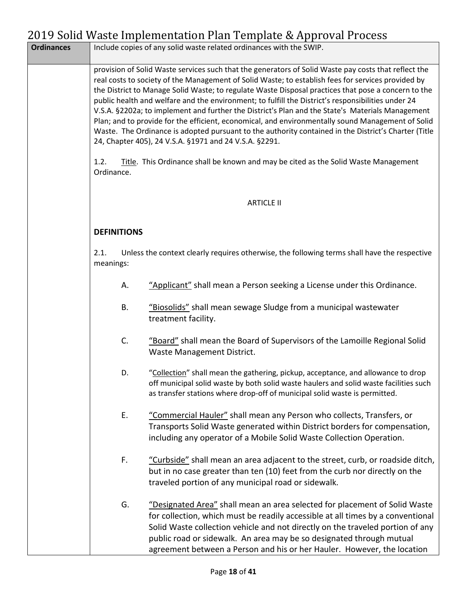| <b>Ordinances</b> |                    | Include copies of any solid waste related ordinances with the SWIP.                                                                                                                                                                                                                                                                                                                                                                                                                                                                                                                                                                                                                                                                                                                                |
|-------------------|--------------------|----------------------------------------------------------------------------------------------------------------------------------------------------------------------------------------------------------------------------------------------------------------------------------------------------------------------------------------------------------------------------------------------------------------------------------------------------------------------------------------------------------------------------------------------------------------------------------------------------------------------------------------------------------------------------------------------------------------------------------------------------------------------------------------------------|
|                   |                    | provision of Solid Waste services such that the generators of Solid Waste pay costs that reflect the<br>real costs to society of the Management of Solid Waste; to establish fees for services provided by<br>the District to Manage Solid Waste; to regulate Waste Disposal practices that pose a concern to the<br>public health and welfare and the environment; to fulfill the District's responsibilities under 24<br>V.S.A. §2202a; to implement and further the District's Plan and the State's Materials Management<br>Plan; and to provide for the efficient, economical, and environmentally sound Management of Solid<br>Waste. The Ordinance is adopted pursuant to the authority contained in the District's Charter (Title<br>24, Chapter 405), 24 V.S.A. §1971 and 24 V.S.A. §2291. |
|                   | 1.2.<br>Ordinance. | Title. This Ordinance shall be known and may be cited as the Solid Waste Management                                                                                                                                                                                                                                                                                                                                                                                                                                                                                                                                                                                                                                                                                                                |
|                   |                    | <b>ARTICLE II</b>                                                                                                                                                                                                                                                                                                                                                                                                                                                                                                                                                                                                                                                                                                                                                                                  |
|                   | <b>DEFINITIONS</b> |                                                                                                                                                                                                                                                                                                                                                                                                                                                                                                                                                                                                                                                                                                                                                                                                    |
|                   | 2.1.<br>meanings:  | Unless the context clearly requires otherwise, the following terms shall have the respective                                                                                                                                                                                                                                                                                                                                                                                                                                                                                                                                                                                                                                                                                                       |
|                   | А.                 | "Applicant" shall mean a Person seeking a License under this Ordinance.                                                                                                                                                                                                                                                                                                                                                                                                                                                                                                                                                                                                                                                                                                                            |
|                   | В.                 | "Biosolids" shall mean sewage Sludge from a municipal wastewater<br>treatment facility.                                                                                                                                                                                                                                                                                                                                                                                                                                                                                                                                                                                                                                                                                                            |
|                   | C.                 | "Board" shall mean the Board of Supervisors of the Lamoille Regional Solid<br>Waste Management District.                                                                                                                                                                                                                                                                                                                                                                                                                                                                                                                                                                                                                                                                                           |
|                   | D.                 | "Collection" shall mean the gathering, pickup, acceptance, and allowance to drop<br>off municipal solid waste by both solid waste haulers and solid waste facilities such<br>as transfer stations where drop-off of municipal solid waste is permitted.                                                                                                                                                                                                                                                                                                                                                                                                                                                                                                                                            |
|                   | Ε.                 | "Commercial Hauler" shall mean any Person who collects, Transfers, or<br>Transports Solid Waste generated within District borders for compensation,<br>including any operator of a Mobile Solid Waste Collection Operation.                                                                                                                                                                                                                                                                                                                                                                                                                                                                                                                                                                        |
|                   | F.                 | "Curbside" shall mean an area adjacent to the street, curb, or roadside ditch,<br>but in no case greater than ten (10) feet from the curb nor directly on the<br>traveled portion of any municipal road or sidewalk.                                                                                                                                                                                                                                                                                                                                                                                                                                                                                                                                                                               |
|                   | G.                 | "Designated Area" shall mean an area selected for placement of Solid Waste<br>for collection, which must be readily accessible at all times by a conventional<br>Solid Waste collection vehicle and not directly on the traveled portion of any<br>public road or sidewalk. An area may be so designated through mutual<br>agreement between a Person and his or her Hauler. However, the location                                                                                                                                                                                                                                                                                                                                                                                                 |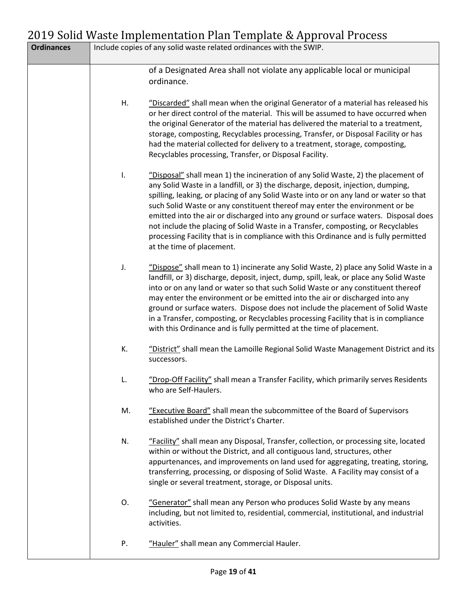| <b>Ordinances</b> |    | Include copies of any solid waste related ordinances with the SWIP.                                                                                                                                                                                                                                                                                                                                                                                                                                                                                                                                                                           |
|-------------------|----|-----------------------------------------------------------------------------------------------------------------------------------------------------------------------------------------------------------------------------------------------------------------------------------------------------------------------------------------------------------------------------------------------------------------------------------------------------------------------------------------------------------------------------------------------------------------------------------------------------------------------------------------------|
|                   |    | of a Designated Area shall not violate any applicable local or municipal<br>ordinance.                                                                                                                                                                                                                                                                                                                                                                                                                                                                                                                                                        |
|                   | Η. | "Discarded" shall mean when the original Generator of a material has released his<br>or her direct control of the material. This will be assumed to have occurred when<br>the original Generator of the material has delivered the material to a treatment,<br>storage, composting, Recyclables processing, Transfer, or Disposal Facility or has<br>had the material collected for delivery to a treatment, storage, composting,<br>Recyclables processing, Transfer, or Disposal Facility.                                                                                                                                                  |
|                   | I. | "Disposal" shall mean 1) the incineration of any Solid Waste, 2) the placement of<br>any Solid Waste in a landfill, or 3) the discharge, deposit, injection, dumping,<br>spilling, leaking, or placing of any Solid Waste into or on any land or water so that<br>such Solid Waste or any constituent thereof may enter the environment or be<br>emitted into the air or discharged into any ground or surface waters. Disposal does<br>not include the placing of Solid Waste in a Transfer, composting, or Recyclables<br>processing Facility that is in compliance with this Ordinance and is fully permitted<br>at the time of placement. |
|                   | J. | "Dispose" shall mean to 1) incinerate any Solid Waste, 2) place any Solid Waste in a<br>landfill, or 3) discharge, deposit, inject, dump, spill, leak, or place any Solid Waste<br>into or on any land or water so that such Solid Waste or any constituent thereof<br>may enter the environment or be emitted into the air or discharged into any<br>ground or surface waters. Dispose does not include the placement of Solid Waste<br>in a Transfer, composting, or Recyclables processing Facility that is in compliance<br>with this Ordinance and is fully permitted at the time of placement.                                          |
|                   | K. | "District" shall mean the Lamoille Regional Solid Waste Management District and its<br>successors.                                                                                                                                                                                                                                                                                                                                                                                                                                                                                                                                            |
|                   |    | "Drop-Off Facility" shall mean a Transfer Facility, which primarily serves Residents<br>who are Self-Haulers.                                                                                                                                                                                                                                                                                                                                                                                                                                                                                                                                 |
|                   | M. | "Executive Board" shall mean the subcommittee of the Board of Supervisors<br>established under the District's Charter.                                                                                                                                                                                                                                                                                                                                                                                                                                                                                                                        |
|                   | N. | "Facility" shall mean any Disposal, Transfer, collection, or processing site, located<br>within or without the District, and all contiguous land, structures, other<br>appurtenances, and improvements on land used for aggregating, treating, storing,<br>transferring, processing, or disposing of Solid Waste. A Facility may consist of a<br>single or several treatment, storage, or Disposal units.                                                                                                                                                                                                                                     |
|                   | 0. | "Generator" shall mean any Person who produces Solid Waste by any means<br>including, but not limited to, residential, commercial, institutional, and industrial<br>activities.                                                                                                                                                                                                                                                                                                                                                                                                                                                               |
|                   | Ρ. | "Hauler" shall mean any Commercial Hauler.                                                                                                                                                                                                                                                                                                                                                                                                                                                                                                                                                                                                    |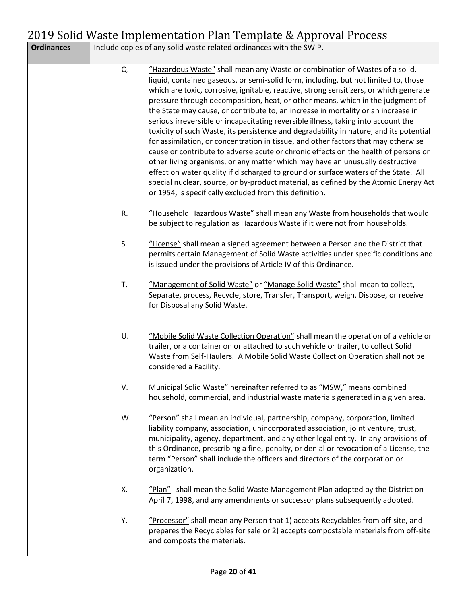| <b>Ordinances</b> |    | Include copies of any solid waste related ordinances with the SWIP.                                                                                                                                                                                                                                                                                                                                                                                                                                                                                                                                                                                                                                                                                                                                                                                                                                                                                                                                                                                                                                                         |
|-------------------|----|-----------------------------------------------------------------------------------------------------------------------------------------------------------------------------------------------------------------------------------------------------------------------------------------------------------------------------------------------------------------------------------------------------------------------------------------------------------------------------------------------------------------------------------------------------------------------------------------------------------------------------------------------------------------------------------------------------------------------------------------------------------------------------------------------------------------------------------------------------------------------------------------------------------------------------------------------------------------------------------------------------------------------------------------------------------------------------------------------------------------------------|
|                   | Q. | "Hazardous Waste" shall mean any Waste or combination of Wastes of a solid,<br>liquid, contained gaseous, or semi-solid form, including, but not limited to, those<br>which are toxic, corrosive, ignitable, reactive, strong sensitizers, or which generate<br>pressure through decomposition, heat, or other means, which in the judgment of<br>the State may cause, or contribute to, an increase in mortality or an increase in<br>serious irreversible or incapacitating reversible illness, taking into account the<br>toxicity of such Waste, its persistence and degradability in nature, and its potential<br>for assimilation, or concentration in tissue, and other factors that may otherwise<br>cause or contribute to adverse acute or chronic effects on the health of persons or<br>other living organisms, or any matter which may have an unusually destructive<br>effect on water quality if discharged to ground or surface waters of the State. All<br>special nuclear, source, or by-product material, as defined by the Atomic Energy Act<br>or 1954, is specifically excluded from this definition. |
|                   | R. | "Household Hazardous Waste" shall mean any Waste from households that would<br>be subject to regulation as Hazardous Waste if it were not from households.                                                                                                                                                                                                                                                                                                                                                                                                                                                                                                                                                                                                                                                                                                                                                                                                                                                                                                                                                                  |
|                   | S. | "License" shall mean a signed agreement between a Person and the District that<br>permits certain Management of Solid Waste activities under specific conditions and<br>is issued under the provisions of Article IV of this Ordinance.                                                                                                                                                                                                                                                                                                                                                                                                                                                                                                                                                                                                                                                                                                                                                                                                                                                                                     |
|                   | T. | "Management of Solid Waste" or "Manage Solid Waste" shall mean to collect,<br>Separate, process, Recycle, store, Transfer, Transport, weigh, Dispose, or receive<br>for Disposal any Solid Waste.                                                                                                                                                                                                                                                                                                                                                                                                                                                                                                                                                                                                                                                                                                                                                                                                                                                                                                                           |
|                   | U. | "Mobile Solid Waste Collection Operation" shall mean the operation of a vehicle or<br>trailer, or a container on or attached to such vehicle or trailer, to collect Solid<br>Waste from Self-Haulers. A Mobile Solid Waste Collection Operation shall not be<br>considered a Facility.                                                                                                                                                                                                                                                                                                                                                                                                                                                                                                                                                                                                                                                                                                                                                                                                                                      |
|                   | V. | Municipal Solid Waste" hereinafter referred to as "MSW," means combined<br>household, commercial, and industrial waste materials generated in a given area.                                                                                                                                                                                                                                                                                                                                                                                                                                                                                                                                                                                                                                                                                                                                                                                                                                                                                                                                                                 |
|                   | W. | "Person" shall mean an individual, partnership, company, corporation, limited<br>liability company, association, unincorporated association, joint venture, trust,<br>municipality, agency, department, and any other legal entity. In any provisions of<br>this Ordinance, prescribing a fine, penalty, or denial or revocation of a License, the<br>term "Person" shall include the officers and directors of the corporation or<br>organization.                                                                                                                                                                                                                                                                                                                                                                                                                                                                                                                                                                                                                                                                         |
|                   | Χ. | "Plan" shall mean the Solid Waste Management Plan adopted by the District on<br>April 7, 1998, and any amendments or successor plans subsequently adopted.                                                                                                                                                                                                                                                                                                                                                                                                                                                                                                                                                                                                                                                                                                                                                                                                                                                                                                                                                                  |
|                   | Υ. | "Processor" shall mean any Person that 1) accepts Recyclables from off-site, and<br>prepares the Recyclables for sale or 2) accepts compostable materials from off-site<br>and composts the materials.                                                                                                                                                                                                                                                                                                                                                                                                                                                                                                                                                                                                                                                                                                                                                                                                                                                                                                                      |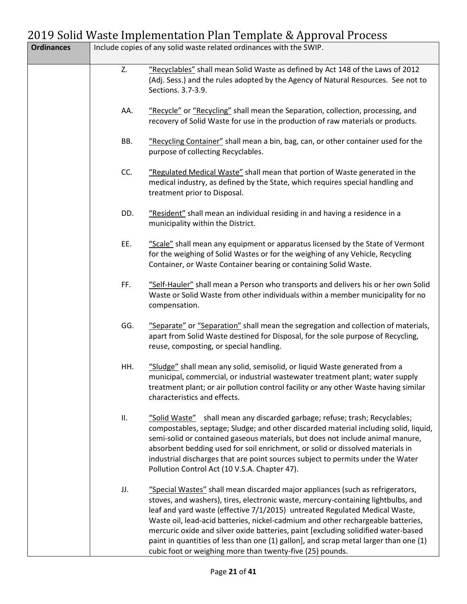| <b>Ordinances</b> |     | Include copies of any solid waste related ordinances with the SWIP.                                                                                                                                                                                                                                                                                                                                                                                                                                                                                                                |
|-------------------|-----|------------------------------------------------------------------------------------------------------------------------------------------------------------------------------------------------------------------------------------------------------------------------------------------------------------------------------------------------------------------------------------------------------------------------------------------------------------------------------------------------------------------------------------------------------------------------------------|
|                   | Z.  | "Recyclables" shall mean Solid Waste as defined by Act 148 of the Laws of 2012<br>(Adj. Sess.) and the rules adopted by the Agency of Natural Resources. See not to<br>Sections. 3.7-3.9.                                                                                                                                                                                                                                                                                                                                                                                          |
|                   | AA. | "Recycle" or "Recycling" shall mean the Separation, collection, processing, and<br>recovery of Solid Waste for use in the production of raw materials or products.                                                                                                                                                                                                                                                                                                                                                                                                                 |
|                   | BB. | "Recycling Container" shall mean a bin, bag, can, or other container used for the<br>purpose of collecting Recyclables.                                                                                                                                                                                                                                                                                                                                                                                                                                                            |
|                   | CC. | "Regulated Medical Waste" shall mean that portion of Waste generated in the<br>medical industry, as defined by the State, which requires special handling and<br>treatment prior to Disposal.                                                                                                                                                                                                                                                                                                                                                                                      |
|                   | DD. | "Resident" shall mean an individual residing in and having a residence in a<br>municipality within the District.                                                                                                                                                                                                                                                                                                                                                                                                                                                                   |
|                   | EE. | "Scale" shall mean any equipment or apparatus licensed by the State of Vermont<br>for the weighing of Solid Wastes or for the weighing of any Vehicle, Recycling<br>Container, or Waste Container bearing or containing Solid Waste.                                                                                                                                                                                                                                                                                                                                               |
|                   | FF. | "Self-Hauler" shall mean a Person who transports and delivers his or her own Solid<br>Waste or Solid Waste from other individuals within a member municipality for no<br>compensation.                                                                                                                                                                                                                                                                                                                                                                                             |
|                   | GG. | "Separate" or "Separation" shall mean the segregation and collection of materials,<br>apart from Solid Waste destined for Disposal, for the sole purpose of Recycling,<br>reuse, composting, or special handling.                                                                                                                                                                                                                                                                                                                                                                  |
|                   | HH. | "Sludge" shall mean any solid, semisolid, or liquid Waste generated from a<br>municipal, commercial, or industrial wastewater treatment plant; water supply<br>treatment plant; or air pollution control facility or any other Waste having similar<br>characteristics and effects.                                                                                                                                                                                                                                                                                                |
|                   | ΙΙ. | "Solid Waste" shall mean any discarded garbage; refuse; trash; Recyclables;<br>compostables, septage; Sludge; and other discarded material including solid, liquid,<br>semi-solid or contained gaseous materials, but does not include animal manure,<br>absorbent bedding used for soil enrichment, or solid or dissolved materials in<br>industrial discharges that are point sources subject to permits under the Water<br>Pollution Control Act (10 V.S.A. Chapter 47).                                                                                                        |
|                   | JJ. | "Special Wastes" shall mean discarded major appliances (such as refrigerators,<br>stoves, and washers), tires, electronic waste, mercury-containing lightbulbs, and<br>leaf and yard waste (effective 7/1/2015) untreated Regulated Medical Waste,<br>Waste oil, lead-acid batteries, nickel-cadmium and other rechargeable batteries,<br>mercuric oxide and silver oxide batteries, paint [excluding solidified water-based<br>paint in quantities of less than one (1) gallon], and scrap metal larger than one (1)<br>cubic foot or weighing more than twenty-five (25) pounds. |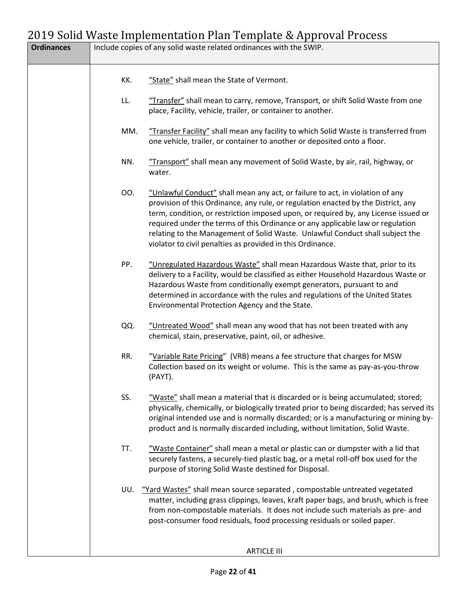| <b>Ordinances</b> |     | Include copies of any solid waste related ordinances with the SWIP.                                                                                                                                                                                                                                                                                                                                                                                                                        |
|-------------------|-----|--------------------------------------------------------------------------------------------------------------------------------------------------------------------------------------------------------------------------------------------------------------------------------------------------------------------------------------------------------------------------------------------------------------------------------------------------------------------------------------------|
|                   | KK. | "State" shall mean the State of Vermont.                                                                                                                                                                                                                                                                                                                                                                                                                                                   |
|                   | LL. | "Transfer" shall mean to carry, remove, Transport, or shift Solid Waste from one<br>place, Facility, vehicle, trailer, or container to another.                                                                                                                                                                                                                                                                                                                                            |
|                   | MM. | "Transfer Facility" shall mean any facility to which Solid Waste is transferred from<br>one vehicle, trailer, or container to another or deposited onto a floor.                                                                                                                                                                                                                                                                                                                           |
|                   | NN. | "Transport" shall mean any movement of Solid Waste, by air, rail, highway, or<br>water.                                                                                                                                                                                                                                                                                                                                                                                                    |
|                   | OO. | "Unlawful Conduct" shall mean any act, or failure to act, in violation of any<br>provision of this Ordinance, any rule, or regulation enacted by the District, any<br>term, condition, or restriction imposed upon, or required by, any License issued or<br>required under the terms of this Ordinance or any applicable law or regulation<br>relating to the Management of Solid Waste. Unlawful Conduct shall subject the<br>violator to civil penalties as provided in this Ordinance. |
|                   | PP. | "Unregulated Hazardous Waste" shall mean Hazardous Waste that, prior to its<br>delivery to a Facility, would be classified as either Household Hazardous Waste or<br>Hazardous Waste from conditionally exempt generators, pursuant to and<br>determined in accordance with the rules and regulations of the United States<br>Environmental Protection Agency and the State.                                                                                                               |
|                   | QQ. | "Untreated Wood" shall mean any wood that has not been treated with any<br>chemical, stain, preservative, paint, oil, or adhesive.                                                                                                                                                                                                                                                                                                                                                         |
|                   | RR. | "Variable Rate Pricing" (VRB) means a fee structure that charges for MSW<br>Collection based on its weight or volume. This is the same as pay-as-you-throw<br>(PAYT).                                                                                                                                                                                                                                                                                                                      |
|                   | SS. | "Waste" shall mean a material that is discarded or is being accumulated; stored;<br>physically, chemically, or biologically treated prior to being discarded; has served its<br>original intended use and is normally discarded; or is a manufacturing or mining by-<br>product and is normally discarded including, without limitation, Solid Waste.                                                                                                                                      |
|                   | TT. | "Waste Container" shall mean a metal or plastic can or dumpster with a lid that<br>securely fastens, a securely-tied plastic bag, or a metal roll-off box used for the<br>purpose of storing Solid Waste destined for Disposal.                                                                                                                                                                                                                                                            |
|                   | UU. | "Yard Wastes" shall mean source separated, compostable untreated vegetated<br>matter, including grass clippings, leaves, kraft paper bags, and brush, which is free<br>from non-compostable materials. It does not include such materials as pre- and<br>post-consumer food residuals, food processing residuals or soiled paper.                                                                                                                                                          |
|                   |     | <b>ARTICLE III</b>                                                                                                                                                                                                                                                                                                                                                                                                                                                                         |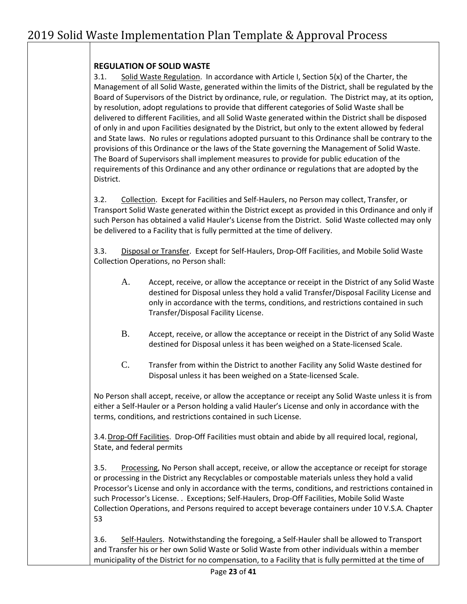#### **REGULATION OF SOLID WASTE**

3.1. Solid Waste Regulation. In accordance with Article I, Section 5(x) of the Charter, the Management of all Solid Waste, generated within the limits of the District, shall be regulated by the Board of Supervisors of the District by ordinance, rule, or regulation. The District may, at its option, by resolution, adopt regulations to provide that different categories of Solid Waste shall be delivered to different Facilities, and all Solid Waste generated within the District shall be disposed of only in and upon Facilities designated by the District, but only to the extent allowed by federal and State laws. No rules or regulations adopted pursuant to this Ordinance shall be contrary to the provisions of this Ordinance or the laws of the State governing the Management of Solid Waste. The Board of Supervisors shall implement measures to provide for public education of the requirements of this Ordinance and any other ordinance or regulations that are adopted by the District.

3.2. Collection. Except for Facilities and Self-Haulers, no Person may collect, Transfer, or Transport Solid Waste generated within the District except as provided in this Ordinance and only if such Person has obtained a valid Hauler's License from the District. Solid Waste collected may only be delivered to a Facility that is fully permitted at the time of delivery.

3.3. Disposal or Transfer. Except for Self-Haulers, Drop-Off Facilities, and Mobile Solid Waste Collection Operations, no Person shall:

- A. Accept, receive, or allow the acceptance or receipt in the District of any Solid Waste destined for Disposal unless they hold a valid Transfer/Disposal Facility License and only in accordance with the terms, conditions, and restrictions contained in such Transfer/Disposal Facility License.
- B. Accept, receive, or allow the acceptance or receipt in the District of any Solid Waste destined for Disposal unless it has been weighed on a State-licensed Scale.
- C. Transfer from within the District to another Facility any Solid Waste destined for Disposal unless it has been weighed on a State-licensed Scale.

No Person shall accept, receive, or allow the acceptance or receipt any Solid Waste unless it is from either a Self-Hauler or a Person holding a valid Hauler's License and only in accordance with the terms, conditions, and restrictions contained in such License.

3.4. Drop-Off Facilities. Drop-Off Facilities must obtain and abide by all required local, regional, State, and federal permits

3.5. Processing, No Person shall accept, receive, or allow the acceptance or receipt for storage or processing in the District any Recyclables or compostable materials unless they hold a valid Processor's License and only in accordance with the terms, conditions, and restrictions contained in such Processor's License. . Exceptions; Self-Haulers, Drop-Off Facilities, Mobile Solid Waste Collection Operations, and Persons required to accept beverage containers under 10 V.S.A. Chapter 53

3.6. Self-Haulers. Notwithstanding the foregoing, a Self-Hauler shall be allowed to Transport and Transfer his or her own Solid Waste or Solid Waste from other individuals within a member municipality of the District for no compensation, to a Facility that is fully permitted at the time of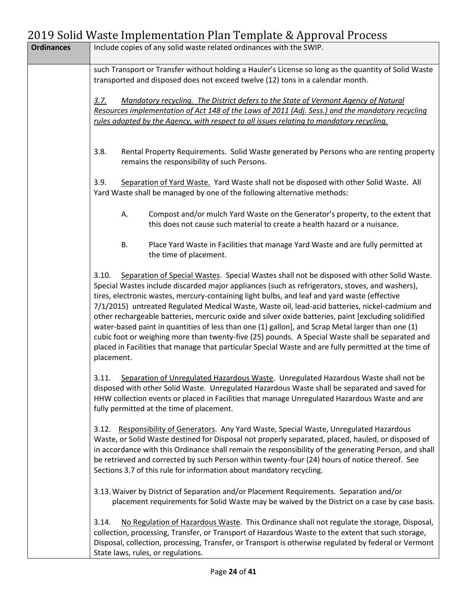|                   | 2017 Joha Waste Impiementation Fian Template & Approval Frocess                                                                                                                                                                                                                                                                                                                                                                                                                                                                                                                                                                                                                                                                                                                                                                                   |
|-------------------|---------------------------------------------------------------------------------------------------------------------------------------------------------------------------------------------------------------------------------------------------------------------------------------------------------------------------------------------------------------------------------------------------------------------------------------------------------------------------------------------------------------------------------------------------------------------------------------------------------------------------------------------------------------------------------------------------------------------------------------------------------------------------------------------------------------------------------------------------|
| <b>Ordinances</b> | Include copies of any solid waste related ordinances with the SWIP.                                                                                                                                                                                                                                                                                                                                                                                                                                                                                                                                                                                                                                                                                                                                                                               |
|                   | such Transport or Transfer without holding a Hauler's License so long as the quantity of Solid Waste<br>transported and disposed does not exceed twelve (12) tons in a calendar month.                                                                                                                                                                                                                                                                                                                                                                                                                                                                                                                                                                                                                                                            |
|                   | Mandatory recycling. The District defers to the State of Vermont Agency of Natural<br>3.7.<br>Resources implementation of Act 148 of the Laws of 2011 (Adj. Sess.) and the mandatory recycling<br>rules adopted by the Agency, with respect to all issues relating to mandatory recycling.                                                                                                                                                                                                                                                                                                                                                                                                                                                                                                                                                        |
|                   | 3.8.<br>Rental Property Requirements. Solid Waste generated by Persons who are renting property<br>remains the responsibility of such Persons.                                                                                                                                                                                                                                                                                                                                                                                                                                                                                                                                                                                                                                                                                                    |
|                   | 3.9.<br>Separation of Yard Waste. Yard Waste shall not be disposed with other Solid Waste. All<br>Yard Waste shall be managed by one of the following alternative methods:                                                                                                                                                                                                                                                                                                                                                                                                                                                                                                                                                                                                                                                                        |
|                   | А.<br>Compost and/or mulch Yard Waste on the Generator's property, to the extent that<br>this does not cause such material to create a health hazard or a nuisance.                                                                                                                                                                                                                                                                                                                                                                                                                                                                                                                                                                                                                                                                               |
|                   | <b>B.</b><br>Place Yard Waste in Facilities that manage Yard Waste and are fully permitted at<br>the time of placement.                                                                                                                                                                                                                                                                                                                                                                                                                                                                                                                                                                                                                                                                                                                           |
|                   | Separation of Special Wastes. Special Wastes shall not be disposed with other Solid Waste.<br>3.10.<br>Special Wastes include discarded major appliances (such as refrigerators, stoves, and washers),<br>tires, electronic wastes, mercury-containing light bulbs, and leaf and yard waste (effective<br>7/1/2015) untreated Regulated Medical Waste, Waste oil, lead-acid batteries, nickel-cadmium and<br>other rechargeable batteries, mercuric oxide and silver oxide batteries, paint [excluding solidified<br>water-based paint in quantities of less than one (1) gallon], and Scrap Metal larger than one (1)<br>cubic foot or weighing more than twenty-five (25) pounds. A Special Waste shall be separated and<br>placed in Facilities that manage that particular Special Waste and are fully permitted at the time of<br>placement. |
|                   | 3.11.<br>Separation of Unregulated Hazardous Waste. Unregulated Hazardous Waste shall not be<br>disposed with other Solid Waste. Unregulated Hazardous Waste shall be separated and saved for<br>HHW collection events or placed in Facilities that manage Unregulated Hazardous Waste and are<br>fully permitted at the time of placement.                                                                                                                                                                                                                                                                                                                                                                                                                                                                                                       |
|                   | 3.12. Responsibility of Generators. Any Yard Waste, Special Waste, Unregulated Hazardous<br>Waste, or Solid Waste destined for Disposal not properly separated, placed, hauled, or disposed of<br>in accordance with this Ordinance shall remain the responsibility of the generating Person, and shall<br>be retrieved and corrected by such Person within twenty-four (24) hours of notice thereof. See<br>Sections 3.7 of this rule for information about mandatory recycling.                                                                                                                                                                                                                                                                                                                                                                 |
|                   | 3.13. Waiver by District of Separation and/or Placement Requirements. Separation and/or<br>placement requirements for Solid Waste may be waived by the District on a case by case basis.                                                                                                                                                                                                                                                                                                                                                                                                                                                                                                                                                                                                                                                          |
|                   | No Regulation of Hazardous Waste. This Ordinance shall not regulate the storage, Disposal,<br>3.14.<br>collection, processing, Transfer, or Transport of Hazardous Waste to the extent that such storage,<br>Disposal, collection, processing, Transfer, or Transport is otherwise regulated by federal or Vermont<br>State laws, rules, or regulations.                                                                                                                                                                                                                                                                                                                                                                                                                                                                                          |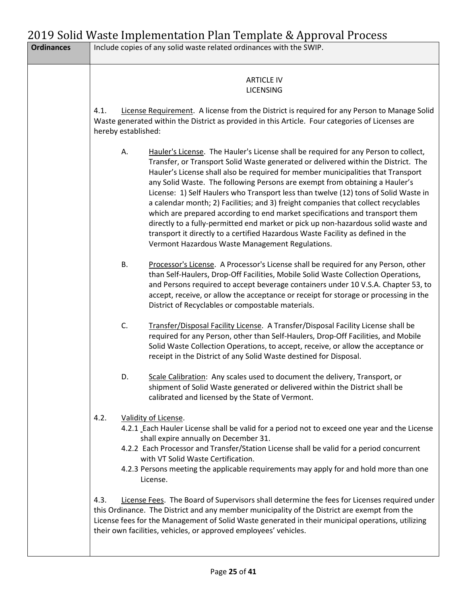| <b>Ordinances</b> |                     | Include copies of any solid waste related ordinances with the SWIP.                                                                                                                                                                                                                                                                                                                                                                                                                                                                                                                                                                                                                                                                                                                                                                  |
|-------------------|---------------------|--------------------------------------------------------------------------------------------------------------------------------------------------------------------------------------------------------------------------------------------------------------------------------------------------------------------------------------------------------------------------------------------------------------------------------------------------------------------------------------------------------------------------------------------------------------------------------------------------------------------------------------------------------------------------------------------------------------------------------------------------------------------------------------------------------------------------------------|
|                   | 4.1.                | <b>ARTICLE IV</b><br><b>LICENSING</b><br>License Requirement. A license from the District is required for any Person to Manage Solid<br>Waste generated within the District as provided in this Article. Four categories of Licenses are                                                                                                                                                                                                                                                                                                                                                                                                                                                                                                                                                                                             |
|                   | hereby established: |                                                                                                                                                                                                                                                                                                                                                                                                                                                                                                                                                                                                                                                                                                                                                                                                                                      |
|                   | Α.                  | Hauler's License. The Hauler's License shall be required for any Person to collect,<br>Transfer, or Transport Solid Waste generated or delivered within the District. The<br>Hauler's License shall also be required for member municipalities that Transport<br>any Solid Waste. The following Persons are exempt from obtaining a Hauler's<br>License: 1) Self Haulers who Transport less than twelve (12) tons of Solid Waste in<br>a calendar month; 2) Facilities; and 3) freight companies that collect recyclables<br>which are prepared according to end market specifications and transport them<br>directly to a fully-permitted end market or pick up non-hazardous solid waste and<br>transport it directly to a certified Hazardous Waste Facility as defined in the<br>Vermont Hazardous Waste Management Regulations. |
|                   | <b>B.</b>           | Processor's License. A Processor's License shall be required for any Person, other<br>than Self-Haulers, Drop-Off Facilities, Mobile Solid Waste Collection Operations,<br>and Persons required to accept beverage containers under 10 V.S.A. Chapter 53, to<br>accept, receive, or allow the acceptance or receipt for storage or processing in the<br>District of Recyclables or compostable materials.                                                                                                                                                                                                                                                                                                                                                                                                                            |
|                   | C.                  | Transfer/Disposal Facility License. A Transfer/Disposal Facility License shall be<br>required for any Person, other than Self-Haulers, Drop-Off Facilities, and Mobile<br>Solid Waste Collection Operations, to accept, receive, or allow the acceptance or<br>receipt in the District of any Solid Waste destined for Disposal.                                                                                                                                                                                                                                                                                                                                                                                                                                                                                                     |
|                   | D.                  | Scale Calibration: Any scales used to document the delivery, Transport, or<br>shipment of Solid Waste generated or delivered within the District shall be<br>calibrated and licensed by the State of Vermont.                                                                                                                                                                                                                                                                                                                                                                                                                                                                                                                                                                                                                        |
|                   | 4.2.                | Validity of License.<br>4.2.1 Each Hauler License shall be valid for a period not to exceed one year and the License<br>shall expire annually on December 31.<br>4.2.2 Each Processor and Transfer/Station License shall be valid for a period concurrent<br>with VT Solid Waste Certification.<br>4.2.3 Persons meeting the applicable requirements may apply for and hold more than one<br>License.                                                                                                                                                                                                                                                                                                                                                                                                                                |
|                   | 4.3.                | License Fees. The Board of Supervisors shall determine the fees for Licenses required under<br>this Ordinance. The District and any member municipality of the District are exempt from the<br>License fees for the Management of Solid Waste generated in their municipal operations, utilizing<br>their own facilities, vehicles, or approved employees' vehicles.                                                                                                                                                                                                                                                                                                                                                                                                                                                                 |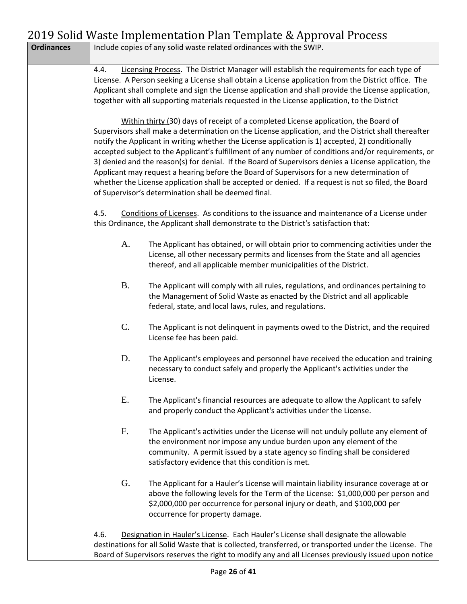|                   |           | 019 Dona wasto impromontation i ian' rompiato cerippi ovari roccoo                                                                                                                                                                                                                                                                                                                                                                                                                                                                                                                                                                                                                                                                                                            |
|-------------------|-----------|-------------------------------------------------------------------------------------------------------------------------------------------------------------------------------------------------------------------------------------------------------------------------------------------------------------------------------------------------------------------------------------------------------------------------------------------------------------------------------------------------------------------------------------------------------------------------------------------------------------------------------------------------------------------------------------------------------------------------------------------------------------------------------|
| <b>Ordinances</b> |           | Include copies of any solid waste related ordinances with the SWIP.                                                                                                                                                                                                                                                                                                                                                                                                                                                                                                                                                                                                                                                                                                           |
|                   | 4.4.      | Licensing Process. The District Manager will establish the requirements for each type of<br>License. A Person seeking a License shall obtain a License application from the District office. The<br>Applicant shall complete and sign the License application and shall provide the License application,<br>together with all supporting materials requested in the License application, to the District                                                                                                                                                                                                                                                                                                                                                                      |
|                   |           | Within thirty (30) days of receipt of a completed License application, the Board of<br>Supervisors shall make a determination on the License application, and the District shall thereafter<br>notify the Applicant in writing whether the License application is 1) accepted, 2) conditionally<br>accepted subject to the Applicant's fulfillment of any number of conditions and/or requirements, or<br>3) denied and the reason(s) for denial. If the Board of Supervisors denies a License application, the<br>Applicant may request a hearing before the Board of Supervisors for a new determination of<br>whether the License application shall be accepted or denied. If a request is not so filed, the Board<br>of Supervisor's determination shall be deemed final. |
|                   | 4.5.      | Conditions of Licenses. As conditions to the issuance and maintenance of a License under<br>this Ordinance, the Applicant shall demonstrate to the District's satisfaction that:                                                                                                                                                                                                                                                                                                                                                                                                                                                                                                                                                                                              |
|                   | A.        | The Applicant has obtained, or will obtain prior to commencing activities under the<br>License, all other necessary permits and licenses from the State and all agencies<br>thereof, and all applicable member municipalities of the District.                                                                                                                                                                                                                                                                                                                                                                                                                                                                                                                                |
|                   | <b>B.</b> | The Applicant will comply with all rules, regulations, and ordinances pertaining to<br>the Management of Solid Waste as enacted by the District and all applicable<br>federal, state, and local laws, rules, and regulations.                                                                                                                                                                                                                                                                                                                                                                                                                                                                                                                                                 |
|                   | C.        | The Applicant is not delinquent in payments owed to the District, and the required<br>License fee has been paid.                                                                                                                                                                                                                                                                                                                                                                                                                                                                                                                                                                                                                                                              |
|                   | D.        | The Applicant's employees and personnel have received the education and training<br>necessary to conduct safely and properly the Applicant's activities under the<br>License.                                                                                                                                                                                                                                                                                                                                                                                                                                                                                                                                                                                                 |
|                   | Ε.        | The Applicant's financial resources are adequate to allow the Applicant to safely<br>and properly conduct the Applicant's activities under the License.                                                                                                                                                                                                                                                                                                                                                                                                                                                                                                                                                                                                                       |
|                   | F.        | The Applicant's activities under the License will not unduly pollute any element of<br>the environment nor impose any undue burden upon any element of the<br>community. A permit issued by a state agency so finding shall be considered<br>satisfactory evidence that this condition is met.                                                                                                                                                                                                                                                                                                                                                                                                                                                                                |
|                   | G.        | The Applicant for a Hauler's License will maintain liability insurance coverage at or<br>above the following levels for the Term of the License: \$1,000,000 per person and<br>\$2,000,000 per occurrence for personal injury or death, and \$100,000 per<br>occurrence for property damage.                                                                                                                                                                                                                                                                                                                                                                                                                                                                                  |
|                   | 4.6.      | Designation in Hauler's License. Each Hauler's License shall designate the allowable<br>destinations for all Solid Waste that is collected, transferred, or transported under the License. The<br>Board of Supervisors reserves the right to modify any and all Licenses previously issued upon notice                                                                                                                                                                                                                                                                                                                                                                                                                                                                        |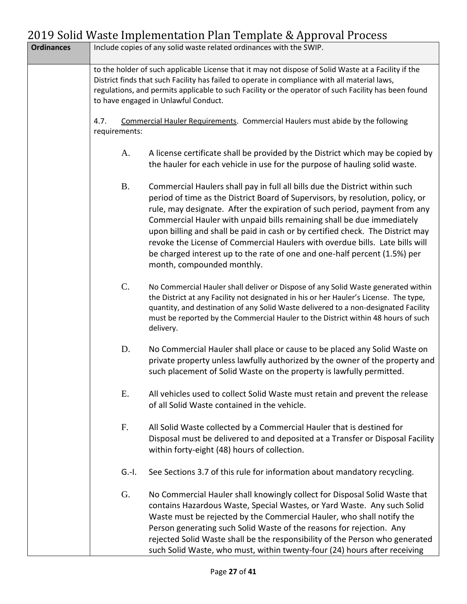| <b>Ordinances</b> |                       | Include copies of any solid waste related ordinances with the SWIP.                                                                                                                                                                                                                                                                                                                                                                                                                                                                                                                                |
|-------------------|-----------------------|----------------------------------------------------------------------------------------------------------------------------------------------------------------------------------------------------------------------------------------------------------------------------------------------------------------------------------------------------------------------------------------------------------------------------------------------------------------------------------------------------------------------------------------------------------------------------------------------------|
|                   |                       | to the holder of such applicable License that it may not dispose of Solid Waste at a Facility if the<br>District finds that such Facility has failed to operate in compliance with all material laws,<br>regulations, and permits applicable to such Facility or the operator of such Facility has been found<br>to have engaged in Unlawful Conduct.                                                                                                                                                                                                                                              |
|                   | 4.7.<br>requirements: | <b>Commercial Hauler Requirements. Commercial Haulers must abide by the following</b>                                                                                                                                                                                                                                                                                                                                                                                                                                                                                                              |
|                   | A.                    | A license certificate shall be provided by the District which may be copied by<br>the hauler for each vehicle in use for the purpose of hauling solid waste.                                                                                                                                                                                                                                                                                                                                                                                                                                       |
|                   | <b>B.</b>             | Commercial Haulers shall pay in full all bills due the District within such<br>period of time as the District Board of Supervisors, by resolution, policy, or<br>rule, may designate. After the expiration of such period, payment from any<br>Commercial Hauler with unpaid bills remaining shall be due immediately<br>upon billing and shall be paid in cash or by certified check. The District may<br>revoke the License of Commercial Haulers with overdue bills. Late bills will<br>be charged interest up to the rate of one and one-half percent (1.5%) per<br>month, compounded monthly. |
|                   | C.                    | No Commercial Hauler shall deliver or Dispose of any Solid Waste generated within<br>the District at any Facility not designated in his or her Hauler's License. The type,<br>quantity, and destination of any Solid Waste delivered to a non-designated Facility<br>must be reported by the Commercial Hauler to the District within 48 hours of such<br>delivery.                                                                                                                                                                                                                                |
|                   | D.                    | No Commercial Hauler shall place or cause to be placed any Solid Waste on<br>private property unless lawfully authorized by the owner of the property and<br>such placement of Solid Waste on the property is lawfully permitted.                                                                                                                                                                                                                                                                                                                                                                  |
|                   | E.                    | All vehicles used to collect Solid Waste must retain and prevent the release<br>of all Solid Waste contained in the vehicle.                                                                                                                                                                                                                                                                                                                                                                                                                                                                       |
|                   | F.                    | All Solid Waste collected by a Commercial Hauler that is destined for<br>Disposal must be delivered to and deposited at a Transfer or Disposal Facility<br>within forty-eight (48) hours of collection.                                                                                                                                                                                                                                                                                                                                                                                            |
|                   | $G.-I.$               | See Sections 3.7 of this rule for information about mandatory recycling.                                                                                                                                                                                                                                                                                                                                                                                                                                                                                                                           |
|                   | G.                    | No Commercial Hauler shall knowingly collect for Disposal Solid Waste that<br>contains Hazardous Waste, Special Wastes, or Yard Waste. Any such Solid<br>Waste must be rejected by the Commercial Hauler, who shall notify the<br>Person generating such Solid Waste of the reasons for rejection. Any<br>rejected Solid Waste shall be the responsibility of the Person who generated<br>such Solid Waste, who must, within twenty-four (24) hours after receiving                                                                                                                                |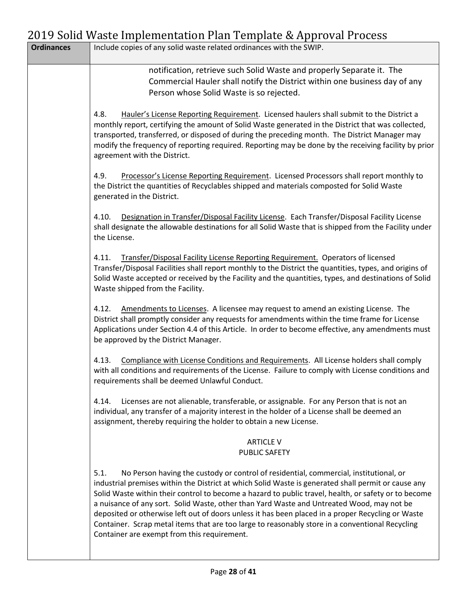|                   | $1017$ bond waste implementation I fair remplate $\alpha$ hpproval Frocess                                                                                                                                                                                                                                                                                                                                                                                                                                                                                                                                                                                       |
|-------------------|------------------------------------------------------------------------------------------------------------------------------------------------------------------------------------------------------------------------------------------------------------------------------------------------------------------------------------------------------------------------------------------------------------------------------------------------------------------------------------------------------------------------------------------------------------------------------------------------------------------------------------------------------------------|
| <b>Ordinances</b> | Include copies of any solid waste related ordinances with the SWIP.                                                                                                                                                                                                                                                                                                                                                                                                                                                                                                                                                                                              |
|                   | notification, retrieve such Solid Waste and properly Separate it. The<br>Commercial Hauler shall notify the District within one business day of any<br>Person whose Solid Waste is so rejected.                                                                                                                                                                                                                                                                                                                                                                                                                                                                  |
|                   | 4.8.<br>Hauler's License Reporting Requirement. Licensed haulers shall submit to the District a<br>monthly report, certifying the amount of Solid Waste generated in the District that was collected,<br>transported, transferred, or disposed of during the preceding month. The District Manager may<br>modify the frequency of reporting required. Reporting may be done by the receiving facility by prior<br>agreement with the District.                                                                                                                                                                                                                   |
|                   | Processor's License Reporting Requirement. Licensed Processors shall report monthly to<br>4.9.<br>the District the quantities of Recyclables shipped and materials composted for Solid Waste<br>generated in the District.                                                                                                                                                                                                                                                                                                                                                                                                                                       |
|                   | Designation in Transfer/Disposal Facility License. Each Transfer/Disposal Facility License<br>4.10.<br>shall designate the allowable destinations for all Solid Waste that is shipped from the Facility under<br>the License.                                                                                                                                                                                                                                                                                                                                                                                                                                    |
|                   | Transfer/Disposal Facility License Reporting Requirement. Operators of licensed<br>4.11.<br>Transfer/Disposal Facilities shall report monthly to the District the quantities, types, and origins of<br>Solid Waste accepted or received by the Facility and the quantities, types, and destinations of Solid<br>Waste shipped from the Facility.                                                                                                                                                                                                                                                                                                                 |
|                   | Amendments to Licenses. A licensee may request to amend an existing License. The<br>4.12.<br>District shall promptly consider any requests for amendments within the time frame for License<br>Applications under Section 4.4 of this Article. In order to become effective, any amendments must<br>be approved by the District Manager.                                                                                                                                                                                                                                                                                                                         |
|                   | Compliance with License Conditions and Requirements. All License holders shall comply<br>4.13.<br>with all conditions and requirements of the License. Failure to comply with License conditions and<br>requirements shall be deemed Unlawful Conduct.                                                                                                                                                                                                                                                                                                                                                                                                           |
|                   | Licenses are not alienable, transferable, or assignable. For any Person that is not an<br>4.14.<br>individual, any transfer of a majority interest in the holder of a License shall be deemed an<br>assignment, thereby requiring the holder to obtain a new License.                                                                                                                                                                                                                                                                                                                                                                                            |
|                   | <b>ARTICLE V</b><br><b>PUBLIC SAFETY</b>                                                                                                                                                                                                                                                                                                                                                                                                                                                                                                                                                                                                                         |
|                   | No Person having the custody or control of residential, commercial, institutional, or<br>5.1.<br>industrial premises within the District at which Solid Waste is generated shall permit or cause any<br>Solid Waste within their control to become a hazard to public travel, health, or safety or to become<br>a nuisance of any sort. Solid Waste, other than Yard Waste and Untreated Wood, may not be<br>deposited or otherwise left out of doors unless it has been placed in a proper Recycling or Waste<br>Container. Scrap metal items that are too large to reasonably store in a conventional Recycling<br>Container are exempt from this requirement. |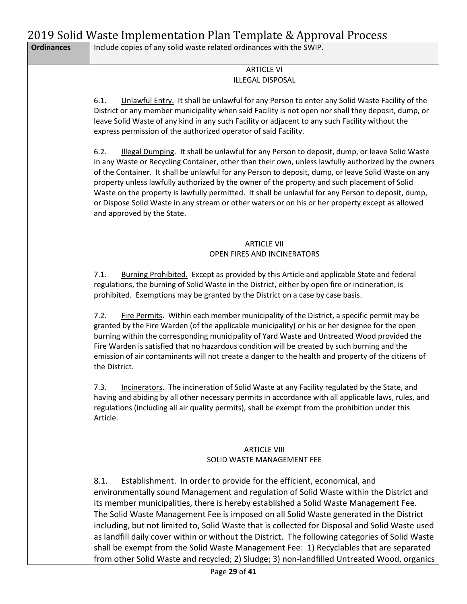| <b>Ordinances</b> | Include copies of any solid waste related ordinances with the SWIP.                                                                                                                                                                                                                                                                                                                                                                                                                                                                                                                                                                                                                                                                                    |
|-------------------|--------------------------------------------------------------------------------------------------------------------------------------------------------------------------------------------------------------------------------------------------------------------------------------------------------------------------------------------------------------------------------------------------------------------------------------------------------------------------------------------------------------------------------------------------------------------------------------------------------------------------------------------------------------------------------------------------------------------------------------------------------|
|                   | <b>ARTICLE VI</b><br><b>ILLEGAL DISPOSAL</b>                                                                                                                                                                                                                                                                                                                                                                                                                                                                                                                                                                                                                                                                                                           |
|                   | 6.1.<br>Unlawful Entry. It shall be unlawful for any Person to enter any Solid Waste Facility of the<br>District or any member municipality when said Facility is not open nor shall they deposit, dump, or<br>leave Solid Waste of any kind in any such Facility or adjacent to any such Facility without the<br>express permission of the authorized operator of said Facility.                                                                                                                                                                                                                                                                                                                                                                      |
|                   | Illegal Dumping. It shall be unlawful for any Person to deposit, dump, or leave Solid Waste<br>6.2.<br>in any Waste or Recycling Container, other than their own, unless lawfully authorized by the owners<br>of the Container. It shall be unlawful for any Person to deposit, dump, or leave Solid Waste on any<br>property unless lawfully authorized by the owner of the property and such placement of Solid<br>Waste on the property is lawfully permitted. It shall be unlawful for any Person to deposit, dump,<br>or Dispose Solid Waste in any stream or other waters or on his or her property except as allowed<br>and approved by the State.                                                                                              |
|                   | <b>ARTICLE VII</b><br>OPEN FIRES AND INCINERATORS                                                                                                                                                                                                                                                                                                                                                                                                                                                                                                                                                                                                                                                                                                      |
|                   | 7.1.<br>Burning Prohibited. Except as provided by this Article and applicable State and federal<br>regulations, the burning of Solid Waste in the District, either by open fire or incineration, is<br>prohibited. Exemptions may be granted by the District on a case by case basis.                                                                                                                                                                                                                                                                                                                                                                                                                                                                  |
|                   | 7.2.<br>Fire Permits. Within each member municipality of the District, a specific permit may be<br>granted by the Fire Warden (of the applicable municipality) or his or her designee for the open<br>burning within the corresponding municipality of Yard Waste and Untreated Wood provided the<br>Fire Warden is satisfied that no hazardous condition will be created by such burning and the<br>emission of air contaminants will not create a danger to the health and property of the citizens of<br>the District.                                                                                                                                                                                                                              |
|                   | Incinerators. The incineration of Solid Waste at any Facility regulated by the State, and<br>7.3.<br>having and abiding by all other necessary permits in accordance with all applicable laws, rules, and<br>regulations (including all air quality permits), shall be exempt from the prohibition under this<br>Article.                                                                                                                                                                                                                                                                                                                                                                                                                              |
|                   | <b>ARTICLE VIII</b><br>SOLID WASTE MANAGEMENT FEE                                                                                                                                                                                                                                                                                                                                                                                                                                                                                                                                                                                                                                                                                                      |
|                   | Establishment. In order to provide for the efficient, economical, and<br>8.1.<br>environmentally sound Management and regulation of Solid Waste within the District and<br>its member municipalities, there is hereby established a Solid Waste Management Fee.<br>The Solid Waste Management Fee is imposed on all Solid Waste generated in the District<br>including, but not limited to, Solid Waste that is collected for Disposal and Solid Waste used<br>as landfill daily cover within or without the District. The following categories of Solid Waste<br>shall be exempt from the Solid Waste Management Fee: 1) Recyclables that are separated<br>from other Solid Waste and recycled; 2) Sludge; 3) non-landfilled Untreated Wood, organics |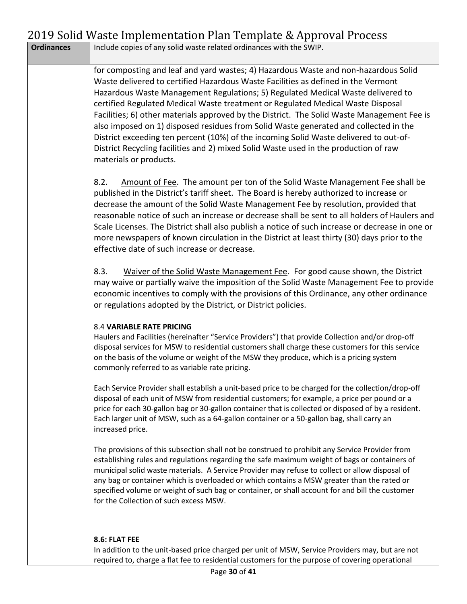|                   | $2013$ John Waste Implementation Fiam Template $\alpha$ Approval Frocess                                                                                                                                                                                                                                                                                                                                                                                                                                                                                                                                                                                                                                                                        |
|-------------------|-------------------------------------------------------------------------------------------------------------------------------------------------------------------------------------------------------------------------------------------------------------------------------------------------------------------------------------------------------------------------------------------------------------------------------------------------------------------------------------------------------------------------------------------------------------------------------------------------------------------------------------------------------------------------------------------------------------------------------------------------|
| <b>Ordinances</b> | Include copies of any solid waste related ordinances with the SWIP.                                                                                                                                                                                                                                                                                                                                                                                                                                                                                                                                                                                                                                                                             |
|                   | for composting and leaf and yard wastes; 4) Hazardous Waste and non-hazardous Solid<br>Waste delivered to certified Hazardous Waste Facilities as defined in the Vermont<br>Hazardous Waste Management Regulations; 5) Regulated Medical Waste delivered to<br>certified Regulated Medical Waste treatment or Regulated Medical Waste Disposal<br>Facilities; 6) other materials approved by the District. The Solid Waste Management Fee is<br>also imposed on 1) disposed residues from Solid Waste generated and collected in the<br>District exceeding ten percent (10%) of the incoming Solid Waste delivered to out-of-<br>District Recycling facilities and 2) mixed Solid Waste used in the production of raw<br>materials or products. |
|                   | 8.2.<br>Amount of Fee. The amount per ton of the Solid Waste Management Fee shall be<br>published in the District's tariff sheet. The Board is hereby authorized to increase or<br>decrease the amount of the Solid Waste Management Fee by resolution, provided that<br>reasonable notice of such an increase or decrease shall be sent to all holders of Haulers and<br>Scale Licenses. The District shall also publish a notice of such increase or decrease in one or<br>more newspapers of known circulation in the District at least thirty (30) days prior to the<br>effective date of such increase or decrease.                                                                                                                        |
|                   | 8.3.<br>Waiver of the Solid Waste Management Fee. For good cause shown, the District<br>may waive or partially waive the imposition of the Solid Waste Management Fee to provide<br>economic incentives to comply with the provisions of this Ordinance, any other ordinance<br>or regulations adopted by the District, or District policies.                                                                                                                                                                                                                                                                                                                                                                                                   |
|                   | <b>8.4 VARIABLE RATE PRICING</b><br>Haulers and Facilities (hereinafter "Service Providers") that provide Collection and/or drop-off<br>disposal services for MSW to residential customers shall charge these customers for this service<br>on the basis of the volume or weight of the MSW they produce, which is a pricing system<br>commonly referred to as variable rate pricing.                                                                                                                                                                                                                                                                                                                                                           |
|                   | Each Service Provider shall establish a unit-based price to be charged for the collection/drop-off<br>disposal of each unit of MSW from residential customers; for example, a price per pound or a<br>price for each 30-gallon bag or 30-gallon container that is collected or disposed of by a resident.<br>Each larger unit of MSW, such as a 64-gallon container or a 50-gallon bag, shall carry an<br>increased price.                                                                                                                                                                                                                                                                                                                      |
|                   | The provisions of this subsection shall not be construed to prohibit any Service Provider from<br>establishing rules and regulations regarding the safe maximum weight of bags or containers of<br>municipal solid waste materials. A Service Provider may refuse to collect or allow disposal of<br>any bag or container which is overloaded or which contains a MSW greater than the rated or<br>specified volume or weight of such bag or container, or shall account for and bill the customer<br>for the Collection of such excess MSW.                                                                                                                                                                                                    |
|                   | 8.6: FLAT FEE                                                                                                                                                                                                                                                                                                                                                                                                                                                                                                                                                                                                                                                                                                                                   |

In addition to the unit-based price charged per unit of MSW, Service Providers may, but are not required to, charge a flat fee to residential customers for the purpose of covering operational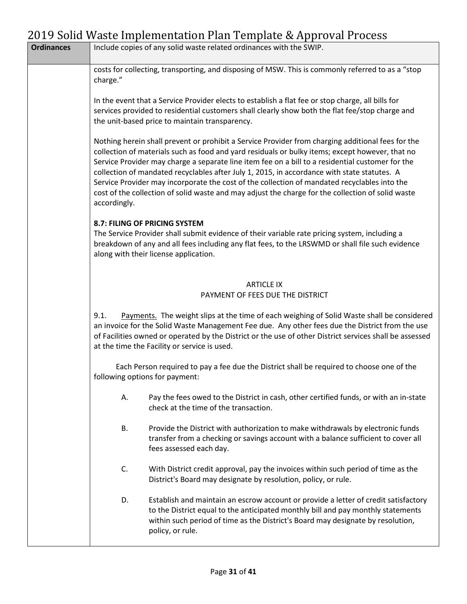| <b>Ordinances</b> |                                | Include copies of any solid waste related ordinances with the SWIP.                                                                                                                                                                                                                                                                                                                                                                                                                                                                                                                                          |
|-------------------|--------------------------------|--------------------------------------------------------------------------------------------------------------------------------------------------------------------------------------------------------------------------------------------------------------------------------------------------------------------------------------------------------------------------------------------------------------------------------------------------------------------------------------------------------------------------------------------------------------------------------------------------------------|
|                   | charge."                       | costs for collecting, transporting, and disposing of MSW. This is commonly referred to as a "stop                                                                                                                                                                                                                                                                                                                                                                                                                                                                                                            |
|                   |                                | In the event that a Service Provider elects to establish a flat fee or stop charge, all bills for<br>services provided to residential customers shall clearly show both the flat fee/stop charge and<br>the unit-based price to maintain transparency.                                                                                                                                                                                                                                                                                                                                                       |
|                   | accordingly.                   | Nothing herein shall prevent or prohibit a Service Provider from charging additional fees for the<br>collection of materials such as food and yard residuals or bulky items; except however, that no<br>Service Provider may charge a separate line item fee on a bill to a residential customer for the<br>collection of mandated recyclables after July 1, 2015, in accordance with state statutes. A<br>Service Provider may incorporate the cost of the collection of mandated recyclables into the<br>cost of the collection of solid waste and may adjust the charge for the collection of solid waste |
|                   |                                | 8.7: FILING OF PRICING SYSTEM<br>The Service Provider shall submit evidence of their variable rate pricing system, including a<br>breakdown of any and all fees including any flat fees, to the LRSWMD or shall file such evidence<br>along with their license application.                                                                                                                                                                                                                                                                                                                                  |
|                   |                                | <b>ARTICLE IX</b><br>PAYMENT OF FEES DUE THE DISTRICT                                                                                                                                                                                                                                                                                                                                                                                                                                                                                                                                                        |
|                   | 9.1.                           | Payments. The weight slips at the time of each weighing of Solid Waste shall be considered<br>an invoice for the Solid Waste Management Fee due. Any other fees due the District from the use<br>of Facilities owned or operated by the District or the use of other District services shall be assessed<br>at the time the Facility or service is used.                                                                                                                                                                                                                                                     |
|                   | following options for payment: | Each Person required to pay a fee due the District shall be required to choose one of the                                                                                                                                                                                                                                                                                                                                                                                                                                                                                                                    |
|                   | А.                             | Pay the fees owed to the District in cash, other certified funds, or with an in-state<br>check at the time of the transaction.                                                                                                                                                                                                                                                                                                                                                                                                                                                                               |
|                   | <b>B.</b>                      | Provide the District with authorization to make withdrawals by electronic funds<br>transfer from a checking or savings account with a balance sufficient to cover all<br>fees assessed each day.                                                                                                                                                                                                                                                                                                                                                                                                             |
|                   | C.                             | With District credit approval, pay the invoices within such period of time as the<br>District's Board may designate by resolution, policy, or rule.                                                                                                                                                                                                                                                                                                                                                                                                                                                          |
|                   | D.                             | Establish and maintain an escrow account or provide a letter of credit satisfactory<br>to the District equal to the anticipated monthly bill and pay monthly statements<br>within such period of time as the District's Board may designate by resolution,<br>policy, or rule.                                                                                                                                                                                                                                                                                                                               |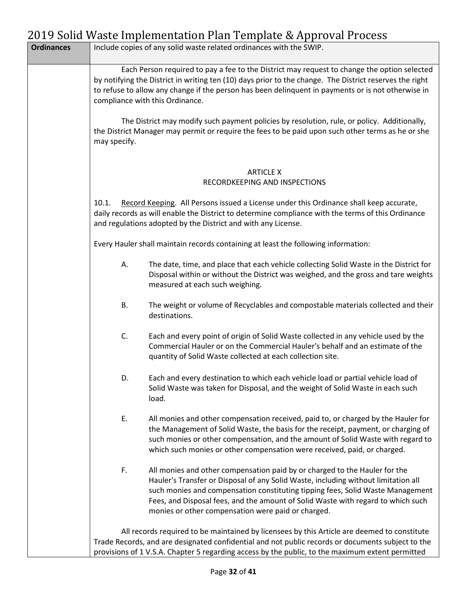| <b>Ordinances</b> |              | Include copies of any solid waste related ordinances with the SWIP.                                                                                                                                                                                                                                                                                                                          |
|-------------------|--------------|----------------------------------------------------------------------------------------------------------------------------------------------------------------------------------------------------------------------------------------------------------------------------------------------------------------------------------------------------------------------------------------------|
|                   |              | Each Person required to pay a fee to the District may request to change the option selected<br>by notifying the District in writing ten (10) days prior to the change. The District reserves the right<br>to refuse to allow any change if the person has been delinguent in payments or is not otherwise in<br>compliance with this Ordinance.                                              |
|                   | may specify. | The District may modify such payment policies by resolution, rule, or policy. Additionally,<br>the District Manager may permit or require the fees to be paid upon such other terms as he or she                                                                                                                                                                                             |
|                   |              | <b>ARTICLE X</b><br>RECORDKEEPING AND INSPECTIONS                                                                                                                                                                                                                                                                                                                                            |
|                   | 10.1.        | Record Keeping. All Persons issued a License under this Ordinance shall keep accurate,<br>daily records as will enable the District to determine compliance with the terms of this Ordinance<br>and regulations adopted by the District and with any License.                                                                                                                                |
|                   |              | Every Hauler shall maintain records containing at least the following information:                                                                                                                                                                                                                                                                                                           |
|                   | А.           | The date, time, and place that each vehicle collecting Solid Waste in the District for<br>Disposal within or without the District was weighed, and the gross and tare weights<br>measured at each such weighing.                                                                                                                                                                             |
|                   | В.           | The weight or volume of Recyclables and compostable materials collected and their<br>destinations.                                                                                                                                                                                                                                                                                           |
|                   | C.           | Each and every point of origin of Solid Waste collected in any vehicle used by the<br>Commercial Hauler or on the Commercial Hauler's behalf and an estimate of the<br>quantity of Solid Waste collected at each collection site.                                                                                                                                                            |
|                   | D.           | Each and every destination to which each vehicle load or partial vehicle load of<br>Solid Waste was taken for Disposal, and the weight of Solid Waste in each such<br>load.                                                                                                                                                                                                                  |
|                   | Ε.           | All monies and other compensation received, paid to, or charged by the Hauler for<br>the Management of Solid Waste, the basis for the receipt, payment, or charging of<br>such monies or other compensation, and the amount of Solid Waste with regard to<br>which such monies or other compensation were received, paid, or charged.                                                        |
|                   | F.           | All monies and other compensation paid by or charged to the Hauler for the<br>Hauler's Transfer or Disposal of any Solid Waste, including without limitation all<br>such monies and compensation constituting tipping fees, Solid Waste Management<br>Fees, and Disposal fees, and the amount of Solid Waste with regard to which such<br>monies or other compensation were paid or charged. |
|                   |              | All records required to be maintained by licensees by this Article are deemed to constitute<br>Trade Records, and are designated confidential and not public records or documents subject to the<br>provisions of 1 V.S.A. Chapter 5 regarding access by the public, to the maximum extent permitted                                                                                         |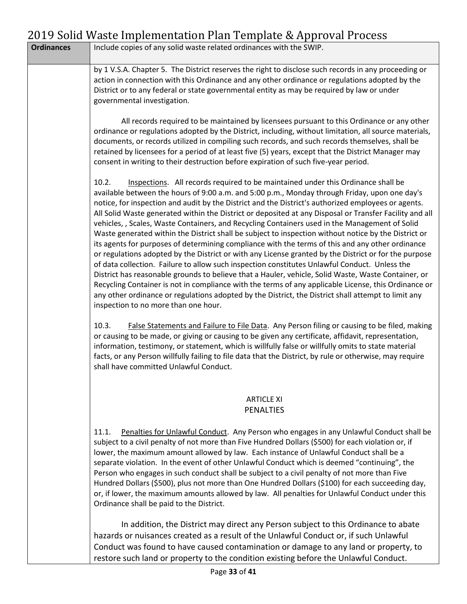|                   | $\mathcal{L}$ 017 John Waste Implementation Flan Template & Apploval Flocess                                                                                                                                                                                                                                                                                                                                                                                                                                                                                                                                                                                                                                                                                                                                                                                                                                                                                                                                                                                                                                                                                                                                                                                                                       |
|-------------------|----------------------------------------------------------------------------------------------------------------------------------------------------------------------------------------------------------------------------------------------------------------------------------------------------------------------------------------------------------------------------------------------------------------------------------------------------------------------------------------------------------------------------------------------------------------------------------------------------------------------------------------------------------------------------------------------------------------------------------------------------------------------------------------------------------------------------------------------------------------------------------------------------------------------------------------------------------------------------------------------------------------------------------------------------------------------------------------------------------------------------------------------------------------------------------------------------------------------------------------------------------------------------------------------------|
| <b>Ordinances</b> | Include copies of any solid waste related ordinances with the SWIP.                                                                                                                                                                                                                                                                                                                                                                                                                                                                                                                                                                                                                                                                                                                                                                                                                                                                                                                                                                                                                                                                                                                                                                                                                                |
|                   | by 1 V.S.A. Chapter 5. The District reserves the right to disclose such records in any proceeding or<br>action in connection with this Ordinance and any other ordinance or regulations adopted by the<br>District or to any federal or state governmental entity as may be required by law or under<br>governmental investigation.                                                                                                                                                                                                                                                                                                                                                                                                                                                                                                                                                                                                                                                                                                                                                                                                                                                                                                                                                                |
|                   | All records required to be maintained by licensees pursuant to this Ordinance or any other<br>ordinance or regulations adopted by the District, including, without limitation, all source materials,<br>documents, or records utilized in compiling such records, and such records themselves, shall be<br>retained by licensees for a period of at least five (5) years, except that the District Manager may<br>consent in writing to their destruction before expiration of such five-year period.                                                                                                                                                                                                                                                                                                                                                                                                                                                                                                                                                                                                                                                                                                                                                                                              |
|                   | Inspections. All records required to be maintained under this Ordinance shall be<br>10.2.<br>available between the hours of 9:00 a.m. and 5:00 p.m., Monday through Friday, upon one day's<br>notice, for inspection and audit by the District and the District's authorized employees or agents.<br>All Solid Waste generated within the District or deposited at any Disposal or Transfer Facility and all<br>vehicles, , Scales, Waste Containers, and Recycling Containers used in the Management of Solid<br>Waste generated within the District shall be subject to inspection without notice by the District or<br>its agents for purposes of determining compliance with the terms of this and any other ordinance<br>or regulations adopted by the District or with any License granted by the District or for the purpose<br>of data collection. Failure to allow such inspection constitutes Unlawful Conduct. Unless the<br>District has reasonable grounds to believe that a Hauler, vehicle, Solid Waste, Waste Container, or<br>Recycling Container is not in compliance with the terms of any applicable License, this Ordinance or<br>any other ordinance or regulations adopted by the District, the District shall attempt to limit any<br>inspection to no more than one hour. |
|                   | False Statements and Failure to File Data. Any Person filing or causing to be filed, making<br>10.3.<br>or causing to be made, or giving or causing to be given any certificate, affidavit, representation,<br>information, testimony, or statement, which is willfully false or willfully omits to state material<br>facts, or any Person willfully failing to file data that the District, by rule or otherwise, may require<br>shall have committed Unlawful Conduct.                                                                                                                                                                                                                                                                                                                                                                                                                                                                                                                                                                                                                                                                                                                                                                                                                           |
|                   | <b>ARTICLE XI</b><br><b>PENALTIES</b>                                                                                                                                                                                                                                                                                                                                                                                                                                                                                                                                                                                                                                                                                                                                                                                                                                                                                                                                                                                                                                                                                                                                                                                                                                                              |
|                   | Penalties for Unlawful Conduct. Any Person who engages in any Unlawful Conduct shall be<br>11.1.<br>subject to a civil penalty of not more than Five Hundred Dollars (\$500) for each violation or, if<br>lower, the maximum amount allowed by law. Each instance of Unlawful Conduct shall be a<br>separate violation. In the event of other Unlawful Conduct which is deemed "continuing", the<br>Person who engages in such conduct shall be subject to a civil penalty of not more than Five<br>Hundred Dollars (\$500), plus not more than One Hundred Dollars (\$100) for each succeeding day,<br>or, if lower, the maximum amounts allowed by law. All penalties for Unlawful Conduct under this<br>Ordinance shall be paid to the District.                                                                                                                                                                                                                                                                                                                                                                                                                                                                                                                                                |
|                   | In addition, the District may direct any Person subject to this Ordinance to abate<br>hazards or nuisances created as a result of the Unlawful Conduct or, if such Unlawful                                                                                                                                                                                                                                                                                                                                                                                                                                                                                                                                                                                                                                                                                                                                                                                                                                                                                                                                                                                                                                                                                                                        |

Conduct was found to have caused contamination or damage to any land or property, to restore such land or property to the condition existing before the Unlawful Conduct.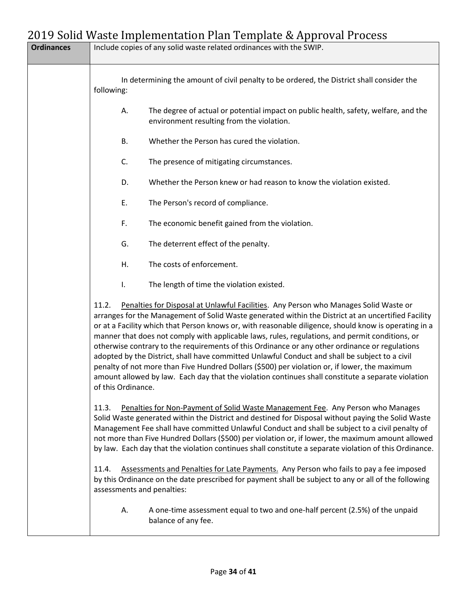| <b>Ordinances</b> | Include copies of any solid waste related ordinances with the SWIP.                                                                                                                                                                                                                                                                                                                                                                                                                                                                                                                                                                                                                                                                                                                                                                               |
|-------------------|---------------------------------------------------------------------------------------------------------------------------------------------------------------------------------------------------------------------------------------------------------------------------------------------------------------------------------------------------------------------------------------------------------------------------------------------------------------------------------------------------------------------------------------------------------------------------------------------------------------------------------------------------------------------------------------------------------------------------------------------------------------------------------------------------------------------------------------------------|
|                   | In determining the amount of civil penalty to be ordered, the District shall consider the<br>following:                                                                                                                                                                                                                                                                                                                                                                                                                                                                                                                                                                                                                                                                                                                                           |
|                   | The degree of actual or potential impact on public health, safety, welfare, and the<br>А.<br>environment resulting from the violation.                                                                                                                                                                                                                                                                                                                                                                                                                                                                                                                                                                                                                                                                                                            |
|                   | Whether the Person has cured the violation.<br>В.                                                                                                                                                                                                                                                                                                                                                                                                                                                                                                                                                                                                                                                                                                                                                                                                 |
|                   | C.<br>The presence of mitigating circumstances.                                                                                                                                                                                                                                                                                                                                                                                                                                                                                                                                                                                                                                                                                                                                                                                                   |
|                   | Whether the Person knew or had reason to know the violation existed.<br>D.                                                                                                                                                                                                                                                                                                                                                                                                                                                                                                                                                                                                                                                                                                                                                                        |
|                   | Ε.<br>The Person's record of compliance.                                                                                                                                                                                                                                                                                                                                                                                                                                                                                                                                                                                                                                                                                                                                                                                                          |
|                   | F.<br>The economic benefit gained from the violation.                                                                                                                                                                                                                                                                                                                                                                                                                                                                                                                                                                                                                                                                                                                                                                                             |
|                   | G.<br>The deterrent effect of the penalty.                                                                                                                                                                                                                                                                                                                                                                                                                                                                                                                                                                                                                                                                                                                                                                                                        |
|                   | The costs of enforcement.<br>Η.                                                                                                                                                                                                                                                                                                                                                                                                                                                                                                                                                                                                                                                                                                                                                                                                                   |
|                   | The length of time the violation existed.<br>I.                                                                                                                                                                                                                                                                                                                                                                                                                                                                                                                                                                                                                                                                                                                                                                                                   |
|                   | Penalties for Disposal at Unlawful Facilities. Any Person who Manages Solid Waste or<br>11.2.<br>arranges for the Management of Solid Waste generated within the District at an uncertified Facility<br>or at a Facility which that Person knows or, with reasonable diligence, should know is operating in a<br>manner that does not comply with applicable laws, rules, regulations, and permit conditions, or<br>otherwise contrary to the requirements of this Ordinance or any other ordinance or regulations<br>adopted by the District, shall have committed Unlawful Conduct and shall be subject to a civil<br>penalty of not more than Five Hundred Dollars (\$500) per violation or, if lower, the maximum<br>amount allowed by law. Each day that the violation continues shall constitute a separate violation<br>of this Ordinance. |
|                   | Penalties for Non-Payment of Solid Waste Management Fee. Any Person who Manages<br>11.3.<br>Solid Waste generated within the District and destined for Disposal without paying the Solid Waste<br>Management Fee shall have committed Unlawful Conduct and shall be subject to a civil penalty of<br>not more than Five Hundred Dollars (\$500) per violation or, if lower, the maximum amount allowed<br>by law. Each day that the violation continues shall constitute a separate violation of this Ordinance.                                                                                                                                                                                                                                                                                                                                  |
|                   | Assessments and Penalties for Late Payments. Any Person who fails to pay a fee imposed<br>11.4.<br>by this Ordinance on the date prescribed for payment shall be subject to any or all of the following<br>assessments and penalties:                                                                                                                                                                                                                                                                                                                                                                                                                                                                                                                                                                                                             |
|                   | A one-time assessment equal to two and one-half percent (2.5%) of the unpaid<br>А.<br>balance of any fee.                                                                                                                                                                                                                                                                                                                                                                                                                                                                                                                                                                                                                                                                                                                                         |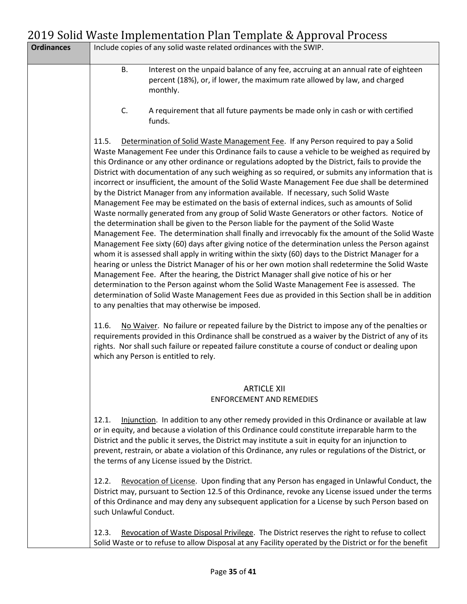|                   | 2017 Joha Waste Impiementation Fian Template & Approval Flocess                                                                                                                                                                                                                                                                                                                                                                                                                                                                                                                                                                                                                                                                                                                                                                                                                                                                                                                                                                                                                                                                                                                                                                                                                                                                                                                                                                                                                                                                                                                                                                                                          |
|-------------------|--------------------------------------------------------------------------------------------------------------------------------------------------------------------------------------------------------------------------------------------------------------------------------------------------------------------------------------------------------------------------------------------------------------------------------------------------------------------------------------------------------------------------------------------------------------------------------------------------------------------------------------------------------------------------------------------------------------------------------------------------------------------------------------------------------------------------------------------------------------------------------------------------------------------------------------------------------------------------------------------------------------------------------------------------------------------------------------------------------------------------------------------------------------------------------------------------------------------------------------------------------------------------------------------------------------------------------------------------------------------------------------------------------------------------------------------------------------------------------------------------------------------------------------------------------------------------------------------------------------------------------------------------------------------------|
| <b>Ordinances</b> | Include copies of any solid waste related ordinances with the SWIP.                                                                                                                                                                                                                                                                                                                                                                                                                                                                                                                                                                                                                                                                                                                                                                                                                                                                                                                                                                                                                                                                                                                                                                                                                                                                                                                                                                                                                                                                                                                                                                                                      |
|                   | <b>B.</b><br>Interest on the unpaid balance of any fee, accruing at an annual rate of eighteen<br>percent (18%), or, if lower, the maximum rate allowed by law, and charged<br>monthly.                                                                                                                                                                                                                                                                                                                                                                                                                                                                                                                                                                                                                                                                                                                                                                                                                                                                                                                                                                                                                                                                                                                                                                                                                                                                                                                                                                                                                                                                                  |
|                   | C.<br>A requirement that all future payments be made only in cash or with certified<br>funds.                                                                                                                                                                                                                                                                                                                                                                                                                                                                                                                                                                                                                                                                                                                                                                                                                                                                                                                                                                                                                                                                                                                                                                                                                                                                                                                                                                                                                                                                                                                                                                            |
|                   | 11.5.<br>Determination of Solid Waste Management Fee. If any Person required to pay a Solid<br>Waste Management Fee under this Ordinance fails to cause a vehicle to be weighed as required by<br>this Ordinance or any other ordinance or regulations adopted by the District, fails to provide the<br>District with documentation of any such weighing as so required, or submits any information that is<br>incorrect or insufficient, the amount of the Solid Waste Management Fee due shall be determined<br>by the District Manager from any information available. If necessary, such Solid Waste<br>Management Fee may be estimated on the basis of external indices, such as amounts of Solid<br>Waste normally generated from any group of Solid Waste Generators or other factors. Notice of<br>the determination shall be given to the Person liable for the payment of the Solid Waste<br>Management Fee. The determination shall finally and irrevocably fix the amount of the Solid Waste<br>Management Fee sixty (60) days after giving notice of the determination unless the Person against<br>whom it is assessed shall apply in writing within the sixty (60) days to the District Manager for a<br>hearing or unless the District Manager of his or her own motion shall redetermine the Solid Waste<br>Management Fee. After the hearing, the District Manager shall give notice of his or her<br>determination to the Person against whom the Solid Waste Management Fee is assessed. The<br>determination of Solid Waste Management Fees due as provided in this Section shall be in addition<br>to any penalties that may otherwise be imposed. |
|                   | No Waiver. No failure or repeated failure by the District to impose any of the penalties or<br>11.6.<br>requirements provided in this Ordinance shall be construed as a waiver by the District of any of its<br>rights. Nor shall such failure or repeated failure constitute a course of conduct or dealing upon<br>which any Person is entitled to rely.                                                                                                                                                                                                                                                                                                                                                                                                                                                                                                                                                                                                                                                                                                                                                                                                                                                                                                                                                                                                                                                                                                                                                                                                                                                                                                               |
|                   |                                                                                                                                                                                                                                                                                                                                                                                                                                                                                                                                                                                                                                                                                                                                                                                                                                                                                                                                                                                                                                                                                                                                                                                                                                                                                                                                                                                                                                                                                                                                                                                                                                                                          |
|                   | <b>ARTICLE XII</b><br><b>ENFORCEMENT AND REMEDIES</b>                                                                                                                                                                                                                                                                                                                                                                                                                                                                                                                                                                                                                                                                                                                                                                                                                                                                                                                                                                                                                                                                                                                                                                                                                                                                                                                                                                                                                                                                                                                                                                                                                    |
|                   | Injunction. In addition to any other remedy provided in this Ordinance or available at law<br>12.1.<br>or in equity, and because a violation of this Ordinance could constitute irreparable harm to the<br>District and the public it serves, the District may institute a suit in equity for an injunction to<br>prevent, restrain, or abate a violation of this Ordinance, any rules or regulations of the District, or<br>the terms of any License issued by the District.                                                                                                                                                                                                                                                                                                                                                                                                                                                                                                                                                                                                                                                                                                                                                                                                                                                                                                                                                                                                                                                                                                                                                                                            |
|                   | Revocation of License. Upon finding that any Person has engaged in Unlawful Conduct, the<br>12.2.<br>District may, pursuant to Section 12.5 of this Ordinance, revoke any License issued under the terms<br>of this Ordinance and may deny any subsequent application for a License by such Person based on<br>such Unlawful Conduct.                                                                                                                                                                                                                                                                                                                                                                                                                                                                                                                                                                                                                                                                                                                                                                                                                                                                                                                                                                                                                                                                                                                                                                                                                                                                                                                                    |
|                   | 12.3.<br>Revocation of Waste Disposal Privilege. The District reserves the right to refuse to collect<br>Solid Waste or to refuse to allow Disposal at any Facility operated by the District or for the benefit                                                                                                                                                                                                                                                                                                                                                                                                                                                                                                                                                                                                                                                                                                                                                                                                                                                                                                                                                                                                                                                                                                                                                                                                                                                                                                                                                                                                                                                          |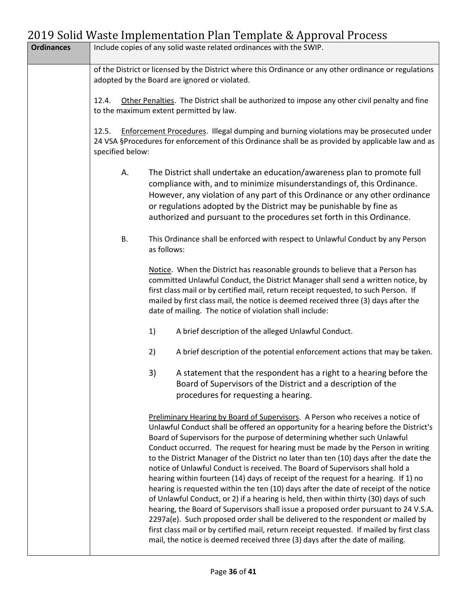| <b>Ordinances</b> | Include copies of any solid waste related ordinances with the SWIP.                                                                                     |             |                                                                                                                                                                                                                                                                                                                                                                                                                                                                                                                                                                                                                                                                                                                                                                                                                                                                                                                                                                                                                                                                                                                                                     |
|-------------------|---------------------------------------------------------------------------------------------------------------------------------------------------------|-------------|-----------------------------------------------------------------------------------------------------------------------------------------------------------------------------------------------------------------------------------------------------------------------------------------------------------------------------------------------------------------------------------------------------------------------------------------------------------------------------------------------------------------------------------------------------------------------------------------------------------------------------------------------------------------------------------------------------------------------------------------------------------------------------------------------------------------------------------------------------------------------------------------------------------------------------------------------------------------------------------------------------------------------------------------------------------------------------------------------------------------------------------------------------|
|                   | of the District or licensed by the District where this Ordinance or any other ordinance or regulations<br>adopted by the Board are ignored or violated. |             |                                                                                                                                                                                                                                                                                                                                                                                                                                                                                                                                                                                                                                                                                                                                                                                                                                                                                                                                                                                                                                                                                                                                                     |
|                   | Other Penalties. The District shall be authorized to impose any other civil penalty and fine<br>12.4.<br>to the maximum extent permitted by law.        |             |                                                                                                                                                                                                                                                                                                                                                                                                                                                                                                                                                                                                                                                                                                                                                                                                                                                                                                                                                                                                                                                                                                                                                     |
|                   | 12.5.<br>specified below:                                                                                                                               |             | Enforcement Procedures. Illegal dumping and burning violations may be prosecuted under<br>24 VSA §Procedures for enforcement of this Ordinance shall be as provided by applicable law and as                                                                                                                                                                                                                                                                                                                                                                                                                                                                                                                                                                                                                                                                                                                                                                                                                                                                                                                                                        |
|                   | А.                                                                                                                                                      |             | The District shall undertake an education/awareness plan to promote full<br>compliance with, and to minimize misunderstandings of, this Ordinance.<br>However, any violation of any part of this Ordinance or any other ordinance<br>or regulations adopted by the District may be punishable by fine as<br>authorized and pursuant to the procedures set forth in this Ordinance.                                                                                                                                                                                                                                                                                                                                                                                                                                                                                                                                                                                                                                                                                                                                                                  |
|                   | В.                                                                                                                                                      | as follows: | This Ordinance shall be enforced with respect to Unlawful Conduct by any Person                                                                                                                                                                                                                                                                                                                                                                                                                                                                                                                                                                                                                                                                                                                                                                                                                                                                                                                                                                                                                                                                     |
|                   |                                                                                                                                                         |             | Notice. When the District has reasonable grounds to believe that a Person has<br>committed Unlawful Conduct, the District Manager shall send a written notice, by<br>first class mail or by certified mail, return receipt requested, to such Person. If<br>mailed by first class mail, the notice is deemed received three (3) days after the<br>date of mailing. The notice of violation shall include:                                                                                                                                                                                                                                                                                                                                                                                                                                                                                                                                                                                                                                                                                                                                           |
|                   |                                                                                                                                                         | 1)          | A brief description of the alleged Unlawful Conduct.                                                                                                                                                                                                                                                                                                                                                                                                                                                                                                                                                                                                                                                                                                                                                                                                                                                                                                                                                                                                                                                                                                |
|                   |                                                                                                                                                         | 2)          | A brief description of the potential enforcement actions that may be taken.                                                                                                                                                                                                                                                                                                                                                                                                                                                                                                                                                                                                                                                                                                                                                                                                                                                                                                                                                                                                                                                                         |
|                   |                                                                                                                                                         | 3)          | A statement that the respondent has a right to a hearing before the<br>Board of Supervisors of the District and a description of the<br>procedures for requesting a hearing.                                                                                                                                                                                                                                                                                                                                                                                                                                                                                                                                                                                                                                                                                                                                                                                                                                                                                                                                                                        |
|                   |                                                                                                                                                         |             | Preliminary Hearing by Board of Supervisors. A Person who receives a notice of<br>Unlawful Conduct shall be offered an opportunity for a hearing before the District's<br>Board of Supervisors for the purpose of determining whether such Unlawful<br>Conduct occurred. The request for hearing must be made by the Person in writing<br>to the District Manager of the District no later than ten (10) days after the date the<br>notice of Unlawful Conduct is received. The Board of Supervisors shall hold a<br>hearing within fourteen (14) days of receipt of the request for a hearing. If 1) no<br>hearing is requested within the ten (10) days after the date of receipt of the notice<br>of Unlawful Conduct, or 2) if a hearing is held, then within thirty (30) days of such<br>hearing, the Board of Supervisors shall issue a proposed order pursuant to 24 V.S.A.<br>2297a(e). Such proposed order shall be delivered to the respondent or mailed by<br>first class mail or by certified mail, return receipt requested. If mailed by first class<br>mail, the notice is deemed received three (3) days after the date of mailing. |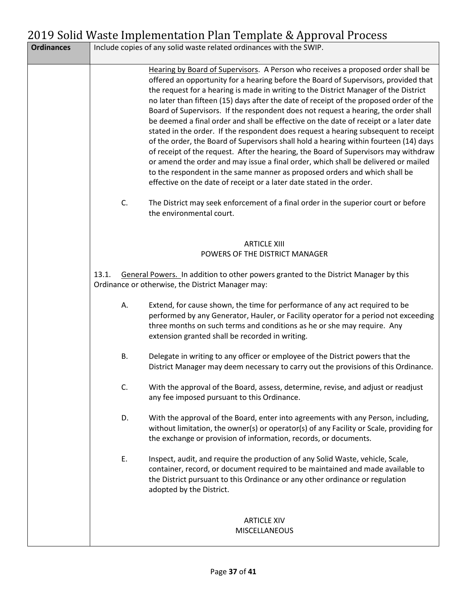| <b>Ordinances</b> | Include copies of any solid waste related ordinances with the SWIP.                                                                                                                                                                                                                                                                                                                                                                                                                                                                                                                                                                                                                                                                                                                                                                                                                                                                                                                                                                                           |
|-------------------|---------------------------------------------------------------------------------------------------------------------------------------------------------------------------------------------------------------------------------------------------------------------------------------------------------------------------------------------------------------------------------------------------------------------------------------------------------------------------------------------------------------------------------------------------------------------------------------------------------------------------------------------------------------------------------------------------------------------------------------------------------------------------------------------------------------------------------------------------------------------------------------------------------------------------------------------------------------------------------------------------------------------------------------------------------------|
|                   | Hearing by Board of Supervisors. A Person who receives a proposed order shall be<br>offered an opportunity for a hearing before the Board of Supervisors, provided that<br>the request for a hearing is made in writing to the District Manager of the District<br>no later than fifteen (15) days after the date of receipt of the proposed order of the<br>Board of Supervisors. If the respondent does not request a hearing, the order shall<br>be deemed a final order and shall be effective on the date of receipt or a later date<br>stated in the order. If the respondent does request a hearing subsequent to receipt<br>of the order, the Board of Supervisors shall hold a hearing within fourteen (14) days<br>of receipt of the request. After the hearing, the Board of Supervisors may withdraw<br>or amend the order and may issue a final order, which shall be delivered or mailed<br>to the respondent in the same manner as proposed orders and which shall be<br>effective on the date of receipt or a later date stated in the order. |
|                   | The District may seek enforcement of a final order in the superior court or before<br>C.<br>the environmental court.                                                                                                                                                                                                                                                                                                                                                                                                                                                                                                                                                                                                                                                                                                                                                                                                                                                                                                                                          |
|                   | <b>ARTICLE XIII</b><br>POWERS OF THE DISTRICT MANAGER                                                                                                                                                                                                                                                                                                                                                                                                                                                                                                                                                                                                                                                                                                                                                                                                                                                                                                                                                                                                         |
|                   | General Powers. In addition to other powers granted to the District Manager by this<br>13.1.<br>Ordinance or otherwise, the District Manager may:                                                                                                                                                                                                                                                                                                                                                                                                                                                                                                                                                                                                                                                                                                                                                                                                                                                                                                             |
|                   | Extend, for cause shown, the time for performance of any act required to be<br>А.<br>performed by any Generator, Hauler, or Facility operator for a period not exceeding<br>three months on such terms and conditions as he or she may require. Any<br>extension granted shall be recorded in writing.                                                                                                                                                                                                                                                                                                                                                                                                                                                                                                                                                                                                                                                                                                                                                        |
|                   | Delegate in writing to any officer or employee of the District powers that the<br>В.<br>District Manager may deem necessary to carry out the provisions of this Ordinance.                                                                                                                                                                                                                                                                                                                                                                                                                                                                                                                                                                                                                                                                                                                                                                                                                                                                                    |
|                   | C.<br>With the approval of the Board, assess, determine, revise, and adjust or readjust<br>any fee imposed pursuant to this Ordinance.                                                                                                                                                                                                                                                                                                                                                                                                                                                                                                                                                                                                                                                                                                                                                                                                                                                                                                                        |
|                   | D.<br>With the approval of the Board, enter into agreements with any Person, including,<br>without limitation, the owner(s) or operator(s) of any Facility or Scale, providing for<br>the exchange or provision of information, records, or documents.                                                                                                                                                                                                                                                                                                                                                                                                                                                                                                                                                                                                                                                                                                                                                                                                        |
|                   | Ε.<br>Inspect, audit, and require the production of any Solid Waste, vehicle, Scale,<br>container, record, or document required to be maintained and made available to<br>the District pursuant to this Ordinance or any other ordinance or regulation<br>adopted by the District.                                                                                                                                                                                                                                                                                                                                                                                                                                                                                                                                                                                                                                                                                                                                                                            |
|                   | <b>ARTICLE XIV</b><br><b>MISCELLANEOUS</b>                                                                                                                                                                                                                                                                                                                                                                                                                                                                                                                                                                                                                                                                                                                                                                                                                                                                                                                                                                                                                    |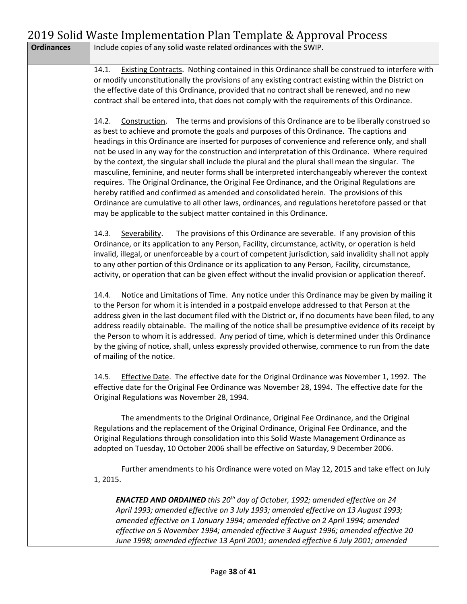|                   | 2017 Joha Wasic Impicinchiation Fian Template & Approval Frocess                                                                                                                                                                                                                                                                                                                                                                                                                                                                                                                                                                                                                                                                                                                                                                                                                                                                                                                            |
|-------------------|---------------------------------------------------------------------------------------------------------------------------------------------------------------------------------------------------------------------------------------------------------------------------------------------------------------------------------------------------------------------------------------------------------------------------------------------------------------------------------------------------------------------------------------------------------------------------------------------------------------------------------------------------------------------------------------------------------------------------------------------------------------------------------------------------------------------------------------------------------------------------------------------------------------------------------------------------------------------------------------------|
| <b>Ordinances</b> | Include copies of any solid waste related ordinances with the SWIP.                                                                                                                                                                                                                                                                                                                                                                                                                                                                                                                                                                                                                                                                                                                                                                                                                                                                                                                         |
|                   | Existing Contracts. Nothing contained in this Ordinance shall be construed to interfere with<br>14.1.<br>or modify unconstitutionally the provisions of any existing contract existing within the District on<br>the effective date of this Ordinance, provided that no contract shall be renewed, and no new<br>contract shall be entered into, that does not comply with the requirements of this Ordinance.                                                                                                                                                                                                                                                                                                                                                                                                                                                                                                                                                                              |
|                   | Construction. The terms and provisions of this Ordinance are to be liberally construed so<br>14.2.<br>as best to achieve and promote the goals and purposes of this Ordinance. The captions and<br>headings in this Ordinance are inserted for purposes of convenience and reference only, and shall<br>not be used in any way for the construction and interpretation of this Ordinance. Where required<br>by the context, the singular shall include the plural and the plural shall mean the singular. The<br>masculine, feminine, and neuter forms shall be interpreted interchangeably wherever the context<br>requires. The Original Ordinance, the Original Fee Ordinance, and the Original Regulations are<br>hereby ratified and confirmed as amended and consolidated herein. The provisions of this<br>Ordinance are cumulative to all other laws, ordinances, and regulations heretofore passed or that<br>may be applicable to the subject matter contained in this Ordinance. |
|                   | 14.3.<br>Severability.<br>The provisions of this Ordinance are severable. If any provision of this<br>Ordinance, or its application to any Person, Facility, circumstance, activity, or operation is held<br>invalid, illegal, or unenforceable by a court of competent jurisdiction, said invalidity shall not apply<br>to any other portion of this Ordinance or its application to any Person, Facility, circumstance,<br>activity, or operation that can be given effect without the invalid provision or application thereof.                                                                                                                                                                                                                                                                                                                                                                                                                                                          |
|                   | Notice and Limitations of Time. Any notice under this Ordinance may be given by mailing it<br>14.4.<br>to the Person for whom it is intended in a postpaid envelope addressed to that Person at the<br>address given in the last document filed with the District or, if no documents have been filed, to any<br>address readily obtainable. The mailing of the notice shall be presumptive evidence of its receipt by<br>the Person to whom it is addressed. Any period of time, which is determined under this Ordinance<br>by the giving of notice, shall, unless expressly provided otherwise, commence to run from the date<br>of mailing of the notice.                                                                                                                                                                                                                                                                                                                               |
|                   | Effective Date. The effective date for the Original Ordinance was November 1, 1992. The<br>14.5.<br>effective date for the Original Fee Ordinance was November 28, 1994. The effective date for the<br>Original Regulations was November 28, 1994.                                                                                                                                                                                                                                                                                                                                                                                                                                                                                                                                                                                                                                                                                                                                          |
|                   | The amendments to the Original Ordinance, Original Fee Ordinance, and the Original<br>Regulations and the replacement of the Original Ordinance, Original Fee Ordinance, and the<br>Original Regulations through consolidation into this Solid Waste Management Ordinance as<br>adopted on Tuesday, 10 October 2006 shall be effective on Saturday, 9 December 2006.                                                                                                                                                                                                                                                                                                                                                                                                                                                                                                                                                                                                                        |
|                   | Further amendments to his Ordinance were voted on May 12, 2015 and take effect on July<br>1, 2015.                                                                                                                                                                                                                                                                                                                                                                                                                                                                                                                                                                                                                                                                                                                                                                                                                                                                                          |
|                   | <b>ENACTED AND ORDAINED</b> this 20 <sup>th</sup> day of October, 1992; amended effective on 24<br>April 1993; amended effective on 3 July 1993; amended effective on 13 August 1993;<br>amended effective on 1 January 1994; amended effective on 2 April 1994; amended<br>effective on 5 November 1994; amended effective 3 August 1996; amended effective 20<br>June 1998; amended effective 13 April 2001; amended effective 6 July 2001; amended                                                                                                                                                                                                                                                                                                                                                                                                                                                                                                                                       |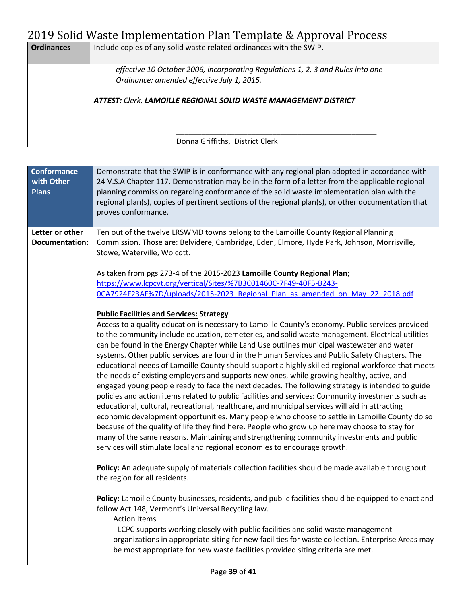| <b>Ordinances</b> | Include copies of any solid waste related ordinances with the SWIP.             |
|-------------------|---------------------------------------------------------------------------------|
|                   | effective 10 October 2006, incorporating Regulations 1, 2, 3 and Rules into one |
|                   | Ordinance; amended effective July 1, 2015.                                      |
|                   | <b>ATTEST: Clerk, LAMOILLE REGIONAL SOLID WASTE MANAGEMENT DISTRICT</b>         |
|                   |                                                                                 |
|                   | Donna Griffiths, District Clerk                                                 |

| <b>Conformance</b><br>with Other<br><b>Plans</b> | Demonstrate that the SWIP is in conformance with any regional plan adopted in accordance with<br>24 V.S.A Chapter 117. Demonstration may be in the form of a letter from the applicable regional<br>planning commission regarding conformance of the solid waste implementation plan with the<br>regional plan(s), copies of pertinent sections of the regional plan(s), or other documentation that<br>proves conformance.                                                                                                                                                                                                                                                                                                                                                                                                                                                                                                                                                                                                                                                                                                                                                                                                                                                                                                                       |
|--------------------------------------------------|---------------------------------------------------------------------------------------------------------------------------------------------------------------------------------------------------------------------------------------------------------------------------------------------------------------------------------------------------------------------------------------------------------------------------------------------------------------------------------------------------------------------------------------------------------------------------------------------------------------------------------------------------------------------------------------------------------------------------------------------------------------------------------------------------------------------------------------------------------------------------------------------------------------------------------------------------------------------------------------------------------------------------------------------------------------------------------------------------------------------------------------------------------------------------------------------------------------------------------------------------------------------------------------------------------------------------------------------------|
| Letter or other<br><b>Documentation:</b>         | Ten out of the twelve LRSWMD towns belong to the Lamoille County Regional Planning<br>Commission. Those are: Belvidere, Cambridge, Eden, Elmore, Hyde Park, Johnson, Morrisville,<br>Stowe, Waterville, Wolcott.                                                                                                                                                                                                                                                                                                                                                                                                                                                                                                                                                                                                                                                                                                                                                                                                                                                                                                                                                                                                                                                                                                                                  |
|                                                  | As taken from pgs 273-4 of the 2015-2023 Lamoille County Regional Plan;<br>https://www.lcpcvt.org/vertical/Sites/%7B3C01460C-7F49-40F5-B243-<br>0CA7924F23AF%7D/uploads/2015-2023 Regional Plan as amended on May 22 2018.pdf                                                                                                                                                                                                                                                                                                                                                                                                                                                                                                                                                                                                                                                                                                                                                                                                                                                                                                                                                                                                                                                                                                                     |
|                                                  | <b>Public Facilities and Services: Strategy</b><br>Access to a quality education is necessary to Lamoille County's economy. Public services provided<br>to the community include education, cemeteries, and solid waste management. Electrical utilities<br>can be found in the Energy Chapter while Land Use outlines municipal wastewater and water<br>systems. Other public services are found in the Human Services and Public Safety Chapters. The<br>educational needs of Lamoille County should support a highly skilled regional workforce that meets<br>the needs of existing employers and supports new ones, while growing healthy, active, and<br>engaged young people ready to face the next decades. The following strategy is intended to guide<br>policies and action items related to public facilities and services: Community investments such as<br>educational, cultural, recreational, healthcare, and municipal services will aid in attracting<br>economic development opportunities. Many people who choose to settle in Lamoille County do so<br>because of the quality of life they find here. People who grow up here may choose to stay for<br>many of the same reasons. Maintaining and strengthening community investments and public<br>services will stimulate local and regional economies to encourage growth. |
|                                                  | Policy: An adequate supply of materials collection facilities should be made available throughout<br>the region for all residents.                                                                                                                                                                                                                                                                                                                                                                                                                                                                                                                                                                                                                                                                                                                                                                                                                                                                                                                                                                                                                                                                                                                                                                                                                |
|                                                  | Policy: Lamoille County businesses, residents, and public facilities should be equipped to enact and<br>follow Act 148, Vermont's Universal Recycling law.<br><b>Action Items</b><br>- LCPC supports working closely with public facilities and solid waste management<br>organizations in appropriate siting for new facilities for waste collection. Enterprise Areas may<br>be most appropriate for new waste facilities provided siting criteria are met.                                                                                                                                                                                                                                                                                                                                                                                                                                                                                                                                                                                                                                                                                                                                                                                                                                                                                     |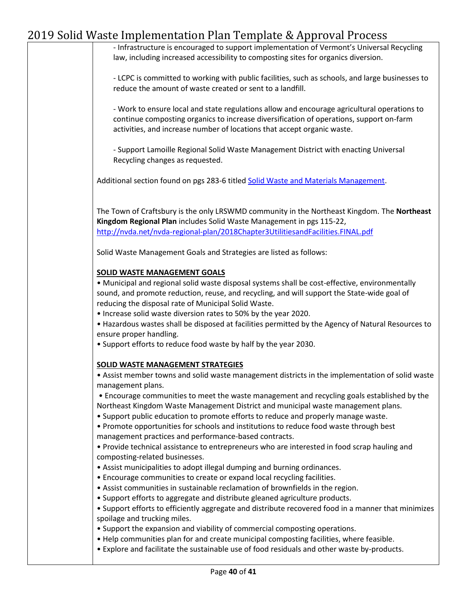- Infrastructure is encouraged to support implementation of Vermont's Universal Recycling law, including increased accessibility to composting sites for organics diversion.

- LCPC is committed to working with public facilities, such as schools, and large businesses to reduce the amount of waste created or sent to a landfill.

- Work to ensure local and state regulations allow and encourage agricultural operations to continue composting organics to increase diversification of operations, support on-farm activities, and increase number of locations that accept organic waste.

- Support Lamoille Regional Solid Waste Management District with enacting Universal Recycling changes as requested.

Additional section found on pgs 283-6 titled [Solid Waste and Materials Management.](https://www.lcpcvt.org/vertical/Sites/%7B3C01460C-7F49-40F5-B243-0CA7924F23AF%7D/uploads/2015-2023_Regional_Plan_as_amended_on_May_22_2018.pdf)

The Town of Craftsbury is the only LRSWMD community in the Northeast Kingdom. The **Northeast Kingdom Regional Plan** includes Solid Waste Management in pgs 115-22, <http://nvda.net/nvda-regional-plan/2018Chapter3UtilitiesandFacilities.FINAL.pdf>

Solid Waste Management Goals and Strategies are listed as follows:

#### **SOLID WASTE MANAGEMENT GOALS**

• Municipal and regional solid waste disposal systems shall be cost-effective, environmentally sound, and promote reduction, reuse, and recycling, and will support the State-wide goal of reducing the disposal rate of Municipal Solid Waste.

• Increase solid waste diversion rates to 50% by the year 2020.

• Hazardous wastes shall be disposed at facilities permitted by the Agency of Natural Resources to ensure proper handling.

• Support efforts to reduce food waste by half by the year 2030.

#### **SOLID WASTE MANAGEMENT STRATEGIES**

• Assist member towns and solid waste management districts in the implementation of solid waste management plans.

• Encourage communities to meet the waste management and recycling goals established by the Northeast Kingdom Waste Management District and municipal waste management plans.

• Support public education to promote efforts to reduce and properly manage waste.

• Promote opportunities for schools and institutions to reduce food waste through best management practices and performance-based contracts.

• Provide technical assistance to entrepreneurs who are interested in food scrap hauling and composting-related businesses.

- Assist municipalities to adopt illegal dumping and burning ordinances.
- Encourage communities to create or expand local recycling facilities.
- Assist communities in sustainable reclamation of brownfields in the region.
- Support efforts to aggregate and distribute gleaned agriculture products.

• Support efforts to efficiently aggregate and distribute recovered food in a manner that minimizes spoilage and trucking miles.

- Support the expansion and viability of commercial composting operations.
- Help communities plan for and create municipal composting facilities, where feasible.
- Explore and facilitate the sustainable use of food residuals and other waste by-products.